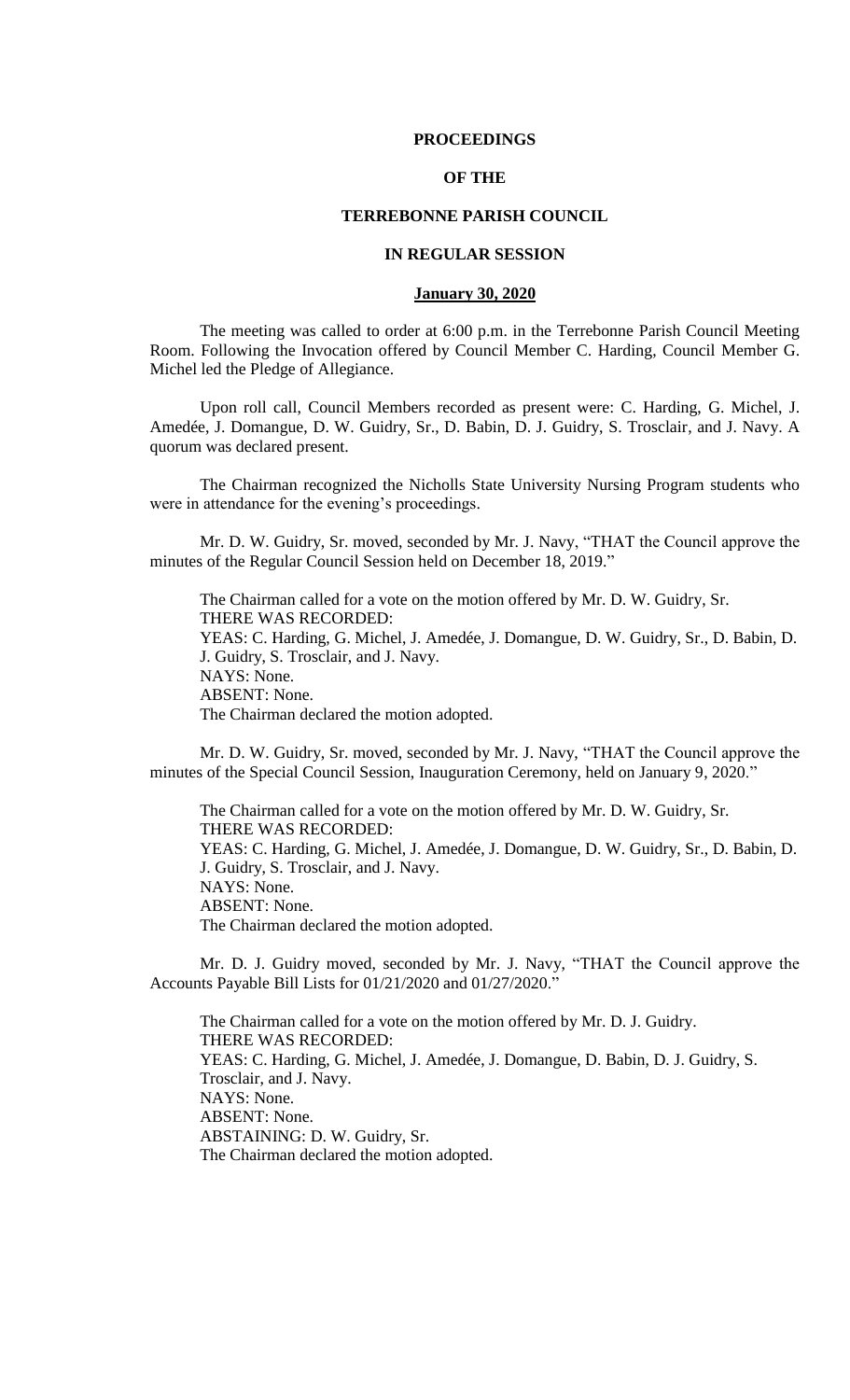### **PROCEEDINGS**

# **OF THE**

# **TERREBONNE PARISH COUNCIL**

### **IN REGULAR SESSION**

#### **January 30, 2020**

The meeting was called to order at 6:00 p.m. in the Terrebonne Parish Council Meeting Room. Following the Invocation offered by Council Member C. Harding, Council Member G. Michel led the Pledge of Allegiance.

Upon roll call, Council Members recorded as present were: C. Harding, G. Michel, J. Amedée, J. Domangue, D. W. Guidry, Sr., D. Babin, D. J. Guidry, S. Trosclair, and J. Navy. A quorum was declared present.

The Chairman recognized the Nicholls State University Nursing Program students who were in attendance for the evening's proceedings.

Mr. D. W. Guidry, Sr. moved, seconded by Mr. J. Navy, "THAT the Council approve the minutes of the Regular Council Session held on December 18, 2019."

The Chairman called for a vote on the motion offered by Mr. D. W. Guidry, Sr. THERE WAS RECORDED: YEAS: C. Harding, G. Michel, J. Amedée, J. Domangue, D. W. Guidry, Sr., D. Babin, D. J. Guidry, S. Trosclair, and J. Navy. NAYS: None. ABSENT: None. The Chairman declared the motion adopted.

Mr. D. W. Guidry, Sr. moved, seconded by Mr. J. Navy, "THAT the Council approve the minutes of the Special Council Session, Inauguration Ceremony, held on January 9, 2020."

The Chairman called for a vote on the motion offered by Mr. D. W. Guidry, Sr. THERE WAS RECORDED: YEAS: C. Harding, G. Michel, J. Amedée, J. Domangue, D. W. Guidry, Sr., D. Babin, D. J. Guidry, S. Trosclair, and J. Navy. NAYS: None. ABSENT: None. The Chairman declared the motion adopted.

Mr. D. J. Guidry moved, seconded by Mr. J. Navy, "THAT the Council approve the Accounts Payable Bill Lists for 01/21/2020 and 01/27/2020."

The Chairman called for a vote on the motion offered by Mr. D. J. Guidry. THERE WAS RECORDED: YEAS: C. Harding, G. Michel, J. Amedée, J. Domangue, D. Babin, D. J. Guidry, S. Trosclair, and J. Navy. NAYS: None. ABSENT: None. ABSTAINING: D. W. Guidry, Sr. The Chairman declared the motion adopted.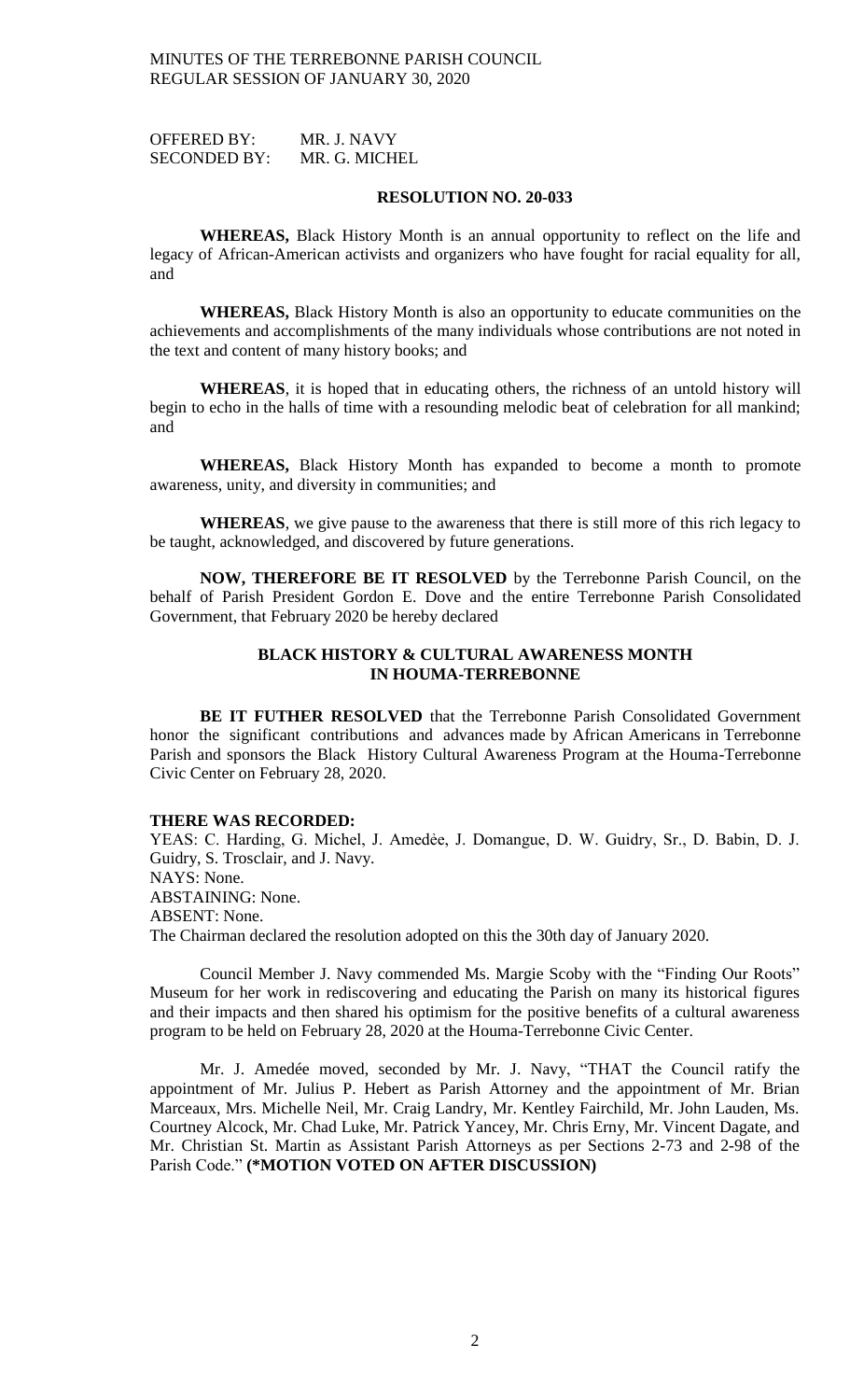OFFERED BY: MR. J. NAVY SECONDED BY: MR. G. MICHEL

#### **RESOLUTION NO. 20-033**

**WHEREAS,** Black History Month is an annual opportunity to reflect on the life and legacy of African-American activists and organizers who have fought for racial equality for all, and

**WHEREAS,** Black History Month is also an opportunity to educate communities on the achievements and accomplishments of the many individuals whose contributions are not noted in the text and content of many history books; and

**WHEREAS**, it is hoped that in educating others, the richness of an untold history will begin to echo in the halls of time with a resounding melodic beat of celebration for all mankind; and

**WHEREAS,** Black History Month has expanded to become a month to promote awareness, unity, and diversity in communities; and

**WHEREAS**, we give pause to the awareness that there is still more of this rich legacy to be taught, acknowledged, and discovered by future generations.

**NOW, THEREFORE BE IT RESOLVED** by the Terrebonne Parish Council, on the behalf of Parish President Gordon E. Dove and the entire Terrebonne Parish Consolidated Government, that February 2020 be hereby declared

# **BLACK HISTORY & CULTURAL AWARENESS MONTH IN HOUMA-TERREBONNE**

**BE IT FUTHER RESOLVED** that the Terrebonne Parish Consolidated Government honor the significant contributions and advances made by African Americans in Terrebonne Parish and sponsors the Black History Cultural Awareness Program at the Houma-Terrebonne Civic Center on February 28, 2020.

### **THERE WAS RECORDED:**

YEAS: C. Harding, G. Michel, J. Amedée, J. Domangue, D. W. Guidry, Sr., D. Babin, D. J. Guidry, S. Trosclair, and J. Navy. NAYS: None. ABSTAINING: None. ABSENT: None. The Chairman declared the resolution adopted on this the 30th day of January 2020.

Council Member J. Navy commended Ms. Margie Scoby with the "Finding Our Roots" Museum for her work in rediscovering and educating the Parish on many its historical figures and their impacts and then shared his optimism for the positive benefits of a cultural awareness program to be held on February 28, 2020 at the Houma-Terrebonne Civic Center.

Mr. J. Amedée moved, seconded by Mr. J. Navy, "THAT the Council ratify the appointment of Mr. Julius P. Hebert as Parish Attorney and the appointment of Mr. Brian Marceaux, Mrs. Michelle Neil, Mr. Craig Landry, Mr. Kentley Fairchild, Mr. John Lauden, Ms. Courtney Alcock, Mr. Chad Luke, Mr. Patrick Yancey, Mr. Chris Erny, Mr. Vincent Dagate, and Mr. Christian St. Martin as Assistant Parish Attorneys as per Sections 2-73 and 2-98 of the Parish Code." **(\*MOTION VOTED ON AFTER DISCUSSION)**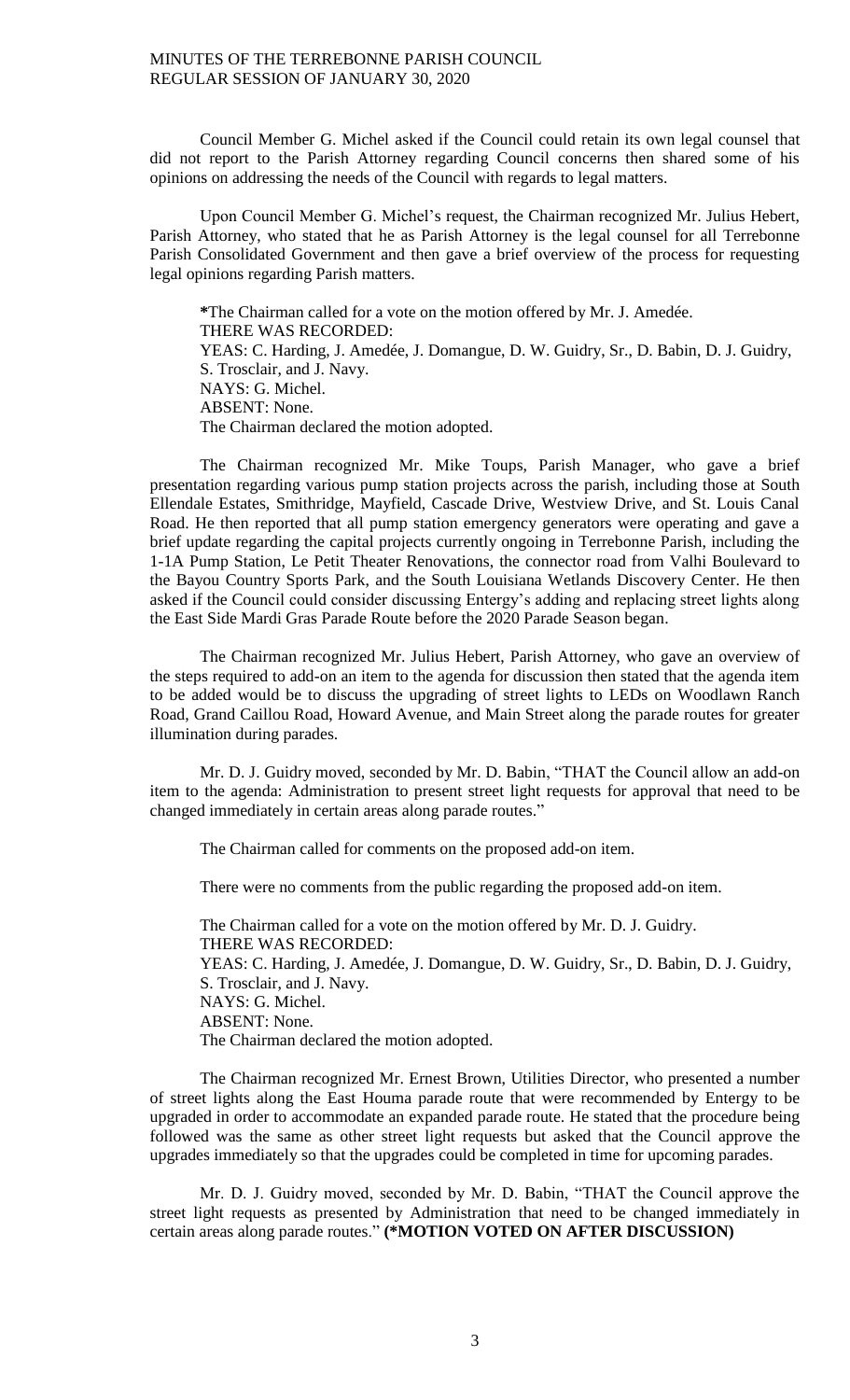Council Member G. Michel asked if the Council could retain its own legal counsel that did not report to the Parish Attorney regarding Council concerns then shared some of his opinions on addressing the needs of the Council with regards to legal matters.

Upon Council Member G. Michel's request, the Chairman recognized Mr. Julius Hebert, Parish Attorney, who stated that he as Parish Attorney is the legal counsel for all Terrebonne Parish Consolidated Government and then gave a brief overview of the process for requesting legal opinions regarding Parish matters.

**\***The Chairman called for a vote on the motion offered by Mr. J. Amedée. THERE WAS RECORDED: YEAS: C. Harding, J. Amedée, J. Domangue, D. W. Guidry, Sr., D. Babin, D. J. Guidry, S. Trosclair, and J. Navy. NAYS: G. Michel. ABSENT: None. The Chairman declared the motion adopted.

The Chairman recognized Mr. Mike Toups, Parish Manager, who gave a brief presentation regarding various pump station projects across the parish, including those at South Ellendale Estates, Smithridge, Mayfield, Cascade Drive, Westview Drive, and St. Louis Canal Road. He then reported that all pump station emergency generators were operating and gave a brief update regarding the capital projects currently ongoing in Terrebonne Parish, including the 1-1A Pump Station, Le Petit Theater Renovations, the connector road from Valhi Boulevard to the Bayou Country Sports Park, and the South Louisiana Wetlands Discovery Center. He then asked if the Council could consider discussing Entergy's adding and replacing street lights along the East Side Mardi Gras Parade Route before the 2020 Parade Season began.

The Chairman recognized Mr. Julius Hebert, Parish Attorney, who gave an overview of the steps required to add-on an item to the agenda for discussion then stated that the agenda item to be added would be to discuss the upgrading of street lights to LEDs on Woodlawn Ranch Road, Grand Caillou Road, Howard Avenue, and Main Street along the parade routes for greater illumination during parades.

Mr. D. J. Guidry moved, seconded by Mr. D. Babin, "THAT the Council allow an add-on item to the agenda: Administration to present street light requests for approval that need to be changed immediately in certain areas along parade routes."

The Chairman called for comments on the proposed add-on item.

There were no comments from the public regarding the proposed add-on item.

The Chairman called for a vote on the motion offered by Mr. D. J. Guidry. THERE WAS RECORDED: YEAS: C. Harding, J. Amedée, J. Domangue, D. W. Guidry, Sr., D. Babin, D. J. Guidry, S. Trosclair, and J. Navy. NAYS: G. Michel. ABSENT: None. The Chairman declared the motion adopted.

The Chairman recognized Mr. Ernest Brown, Utilities Director, who presented a number of street lights along the East Houma parade route that were recommended by Entergy to be upgraded in order to accommodate an expanded parade route. He stated that the procedure being followed was the same as other street light requests but asked that the Council approve the upgrades immediately so that the upgrades could be completed in time for upcoming parades.

Mr. D. J. Guidry moved, seconded by Mr. D. Babin, "THAT the Council approve the street light requests as presented by Administration that need to be changed immediately in certain areas along parade routes." **(\*MOTION VOTED ON AFTER DISCUSSION)**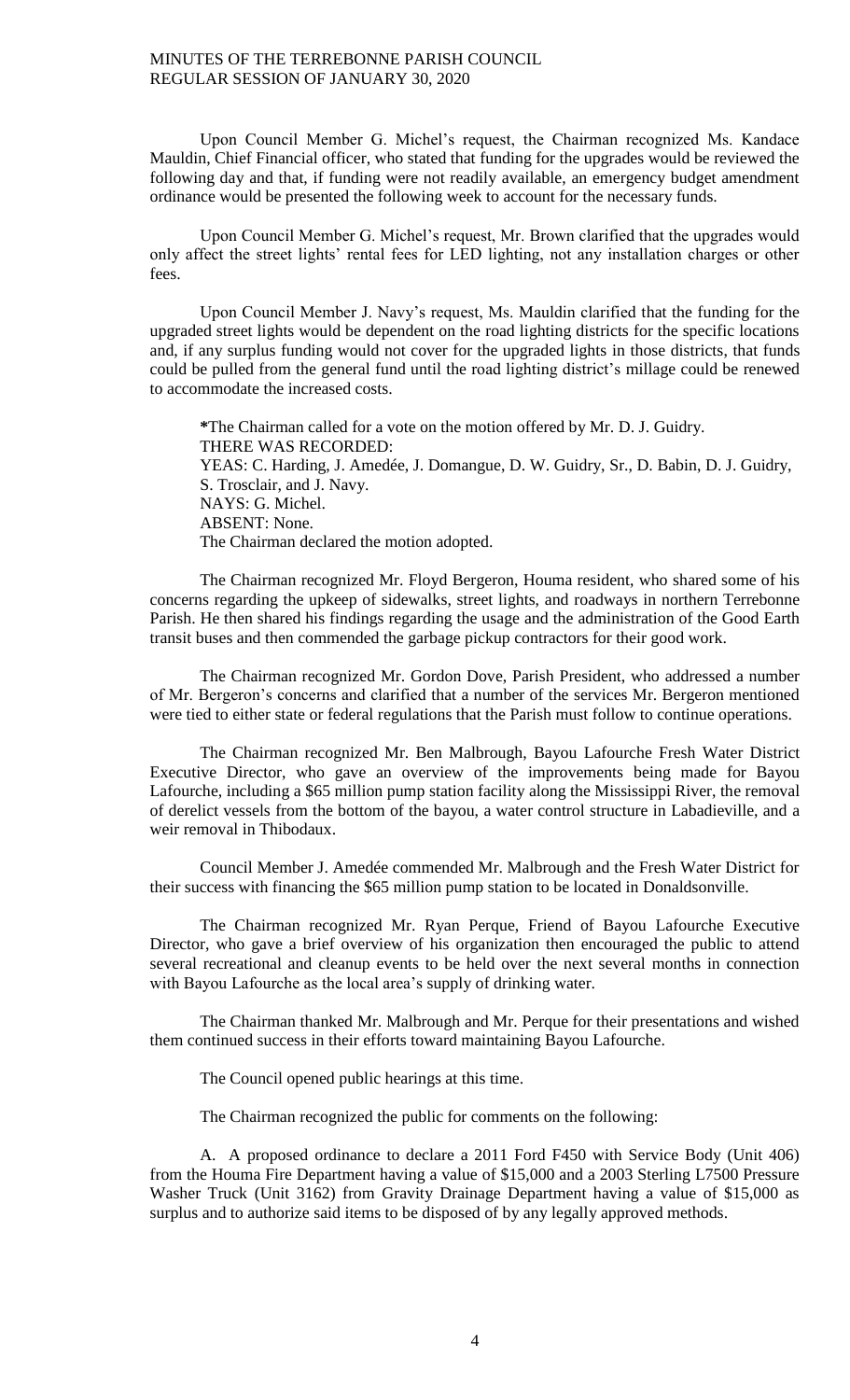Upon Council Member G. Michel's request, the Chairman recognized Ms. Kandace Mauldin, Chief Financial officer, who stated that funding for the upgrades would be reviewed the following day and that, if funding were not readily available, an emergency budget amendment ordinance would be presented the following week to account for the necessary funds.

Upon Council Member G. Michel's request, Mr. Brown clarified that the upgrades would only affect the street lights' rental fees for LED lighting, not any installation charges or other fees.

Upon Council Member J. Navy's request, Ms. Mauldin clarified that the funding for the upgraded street lights would be dependent on the road lighting districts for the specific locations and, if any surplus funding would not cover for the upgraded lights in those districts, that funds could be pulled from the general fund until the road lighting district's millage could be renewed to accommodate the increased costs.

**\***The Chairman called for a vote on the motion offered by Mr. D. J. Guidry. THERE WAS RECORDED: YEAS: C. Harding, J. Amedée, J. Domangue, D. W. Guidry, Sr., D. Babin, D. J. Guidry, S. Trosclair, and J. Navy. NAYS: G. Michel. ABSENT: None. The Chairman declared the motion adopted.

The Chairman recognized Mr. Floyd Bergeron, Houma resident, who shared some of his concerns regarding the upkeep of sidewalks, street lights, and roadways in northern Terrebonne Parish. He then shared his findings regarding the usage and the administration of the Good Earth transit buses and then commended the garbage pickup contractors for their good work.

The Chairman recognized Mr. Gordon Dove, Parish President, who addressed a number of Mr. Bergeron's concerns and clarified that a number of the services Mr. Bergeron mentioned were tied to either state or federal regulations that the Parish must follow to continue operations.

The Chairman recognized Mr. Ben Malbrough, Bayou Lafourche Fresh Water District Executive Director, who gave an overview of the improvements being made for Bayou Lafourche, including a \$65 million pump station facility along the Mississippi River, the removal of derelict vessels from the bottom of the bayou, a water control structure in Labadieville, and a weir removal in Thibodaux.

Council Member J. Amedée commended Mr. Malbrough and the Fresh Water District for their success with financing the \$65 million pump station to be located in Donaldsonville.

The Chairman recognized Mr. Ryan Perque, Friend of Bayou Lafourche Executive Director, who gave a brief overview of his organization then encouraged the public to attend several recreational and cleanup events to be held over the next several months in connection with Bayou Lafourche as the local area's supply of drinking water.

The Chairman thanked Mr. Malbrough and Mr. Perque for their presentations and wished them continued success in their efforts toward maintaining Bayou Lafourche.

The Council opened public hearings at this time.

The Chairman recognized the public for comments on the following:

A. A proposed ordinance to declare a 2011 Ford F450 with Service Body (Unit 406) from the Houma Fire Department having a value of \$15,000 and a 2003 Sterling L7500 Pressure Washer Truck (Unit 3162) from Gravity Drainage Department having a value of \$15,000 as surplus and to authorize said items to be disposed of by any legally approved methods.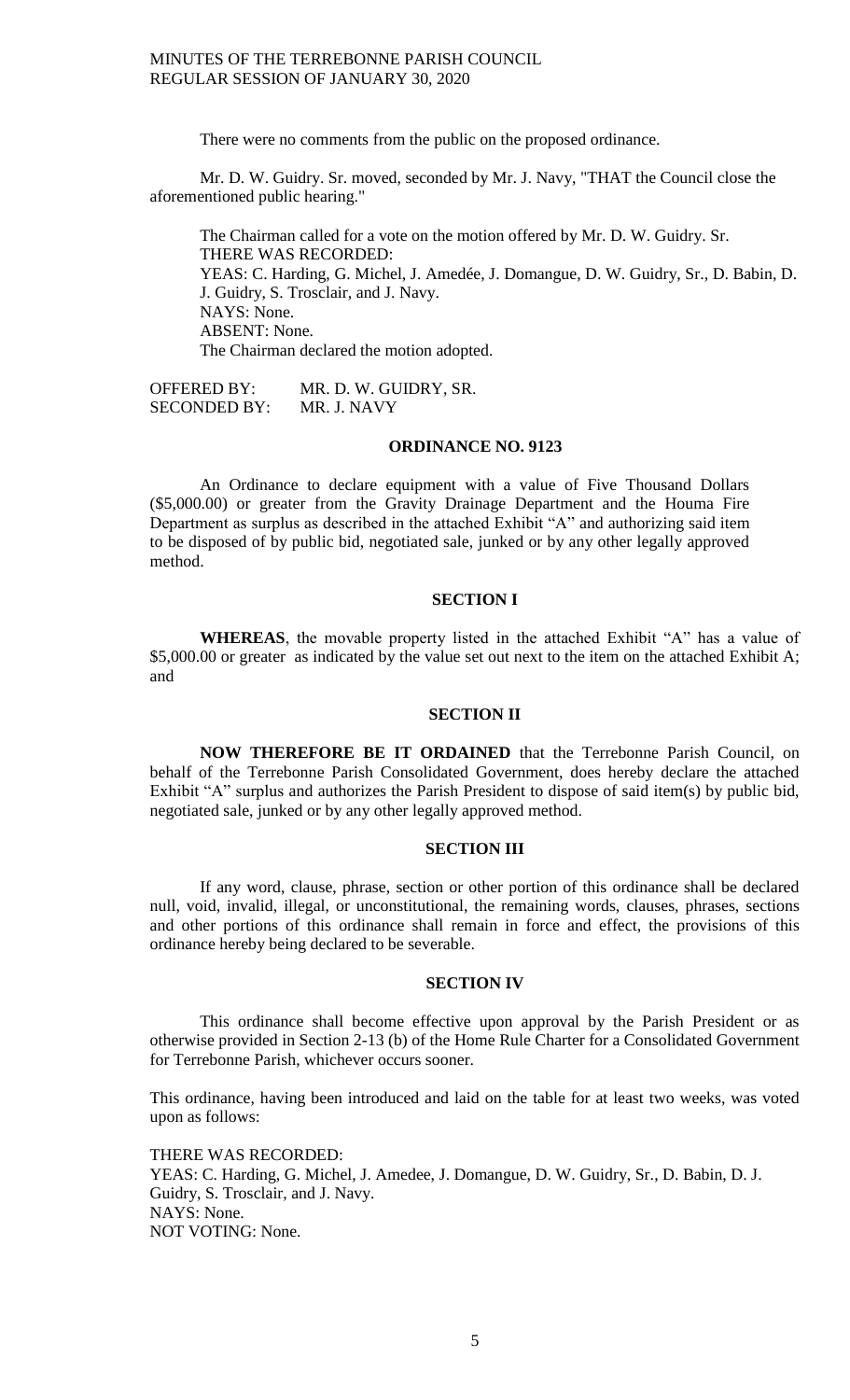There were no comments from the public on the proposed ordinance.

Mr. D. W. Guidry. Sr. moved, seconded by Mr. J. Navy, "THAT the Council close the aforementioned public hearing."

The Chairman called for a vote on the motion offered by Mr. D. W. Guidry. Sr. THERE WAS RECORDED: YEAS: C. Harding, G. Michel, J. Amedée, J. Domangue, D. W. Guidry, Sr., D. Babin, D. J. Guidry, S. Trosclair, and J. Navy. NAYS: None. ABSENT: None. The Chairman declared the motion adopted.

OFFERED BY: MR. D. W. GUIDRY, SR. SECONDED BY: MR. J. NAVY

#### **ORDINANCE NO. 9123**

An Ordinance to declare equipment with a value of Five Thousand Dollars (\$5,000.00) or greater from the Gravity Drainage Department and the Houma Fire Department as surplus as described in the attached Exhibit "A" and authorizing said item to be disposed of by public bid, negotiated sale, junked or by any other legally approved method.

# **SECTION I**

**WHEREAS**, the movable property listed in the attached Exhibit "A" has a value of \$5,000.00 or greater as indicated by the value set out next to the item on the attached Exhibit A; and

#### **SECTION II**

**NOW THEREFORE BE IT ORDAINED** that the Terrebonne Parish Council, on behalf of the Terrebonne Parish Consolidated Government, does hereby declare the attached Exhibit "A" surplus and authorizes the Parish President to dispose of said item(s) by public bid, negotiated sale, junked or by any other legally approved method.

## **SECTION III**

If any word, clause, phrase, section or other portion of this ordinance shall be declared null, void, invalid, illegal, or unconstitutional, the remaining words, clauses, phrases, sections and other portions of this ordinance shall remain in force and effect, the provisions of this ordinance hereby being declared to be severable.

### **SECTION IV**

This ordinance shall become effective upon approval by the Parish President or as otherwise provided in Section 2-13 (b) of the Home Rule Charter for a Consolidated Government for Terrebonne Parish, whichever occurs sooner.

This ordinance, having been introduced and laid on the table for at least two weeks, was voted upon as follows:

THERE WAS RECORDED: YEAS: C. Harding, G. Michel, J. Amedee, J. Domangue, D. W. Guidry, Sr., D. Babin, D. J. Guidry, S. Trosclair, and J. Navy. NAYS: None. NOT VOTING: None.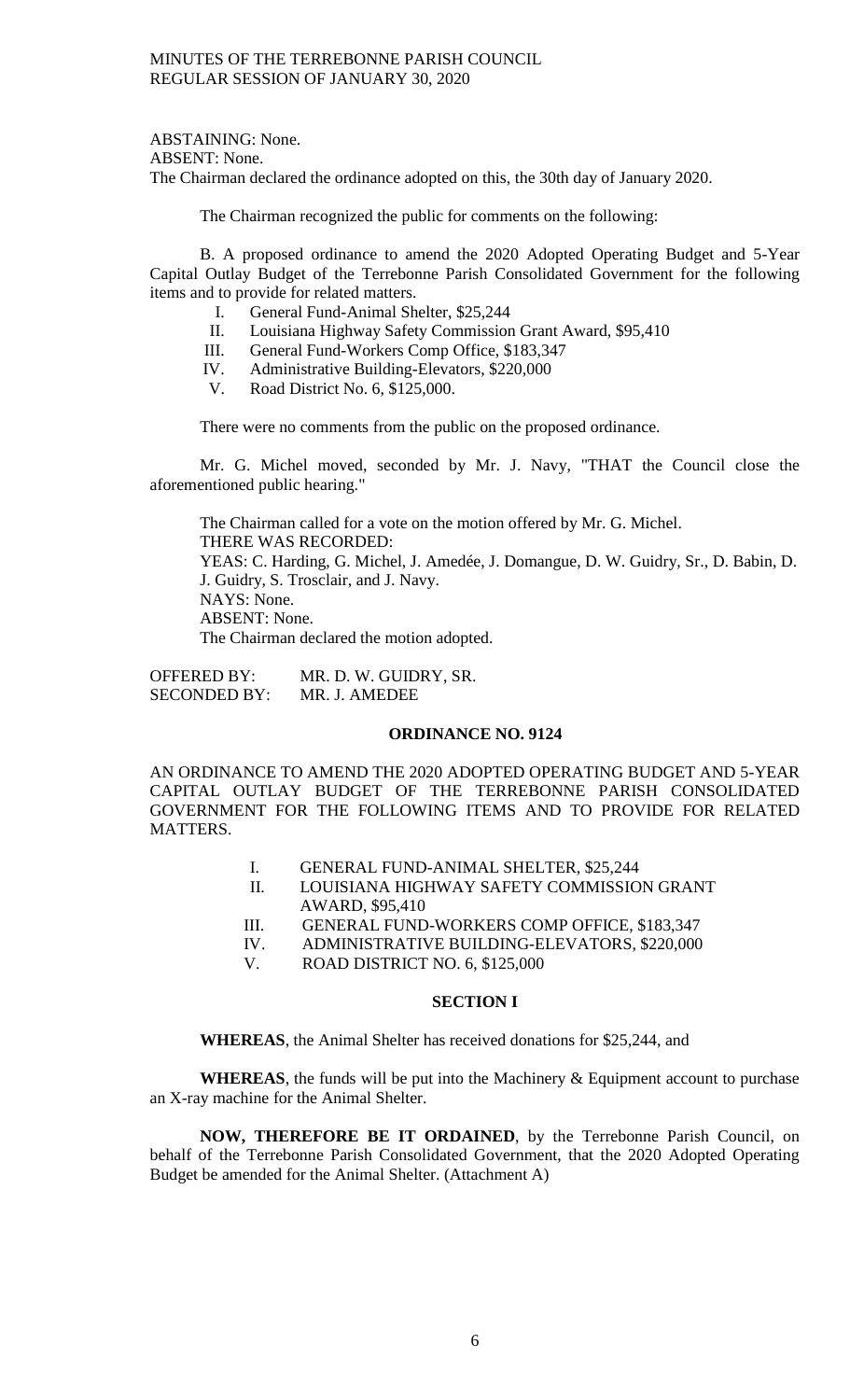ABSTAINING: None. ABSENT: None. The Chairman declared the ordinance adopted on this, the 30th day of January 2020.

The Chairman recognized the public for comments on the following:

B. A proposed ordinance to amend the 2020 Adopted Operating Budget and 5-Year Capital Outlay Budget of the Terrebonne Parish Consolidated Government for the following items and to provide for related matters.

- I. General Fund-Animal Shelter, \$25,244
- II. Louisiana Highway Safety Commission Grant Award, \$95,410
- III. General Fund-Workers Comp Office, \$183,347
- IV. Administrative Building-Elevators, \$220,000
- V. Road District No. 6, \$125,000.

There were no comments from the public on the proposed ordinance.

Mr. G. Michel moved, seconded by Mr. J. Navy, "THAT the Council close the aforementioned public hearing."

The Chairman called for a vote on the motion offered by Mr. G. Michel. THERE WAS RECORDED: YEAS: C. Harding, G. Michel, J. Amedée, J. Domangue, D. W. Guidry, Sr., D. Babin, D. J. Guidry, S. Trosclair, and J. Navy. NAYS: None. ABSENT: None. The Chairman declared the motion adopted.

OFFERED BY: MR. D. W. GUIDRY, SR. SECONDED BY: MR. J. AMEDEE

### **ORDINANCE NO. 9124**

AN ORDINANCE TO AMEND THE 2020 ADOPTED OPERATING BUDGET AND 5-YEAR CAPITAL OUTLAY BUDGET OF THE TERREBONNE PARISH CONSOLIDATED GOVERNMENT FOR THE FOLLOWING ITEMS AND TO PROVIDE FOR RELATED MATTERS.

- I. GENERAL FUND-ANIMAL SHELTER, \$25,244
- II. LOUISIANA HIGHWAY SAFETY COMMISSION GRANT AWARD, \$95,410
- III. GENERAL FUND-WORKERS COMP OFFICE, \$183,347 IV. ADMINISTRATIVE BUILDING-ELEVATORS, \$220,000
- ADMINISTRATIVE BUILDING-ELEVATORS, \$220,000
- V. ROAD DISTRICT NO. 6, \$125,000

### **SECTION I**

**WHEREAS**, the Animal Shelter has received donations for \$25,244, and

**WHEREAS**, the funds will be put into the Machinery & Equipment account to purchase an X-ray machine for the Animal Shelter.

**NOW, THEREFORE BE IT ORDAINED**, by the Terrebonne Parish Council, on behalf of the Terrebonne Parish Consolidated Government, that the 2020 Adopted Operating Budget be amended for the Animal Shelter. (Attachment A)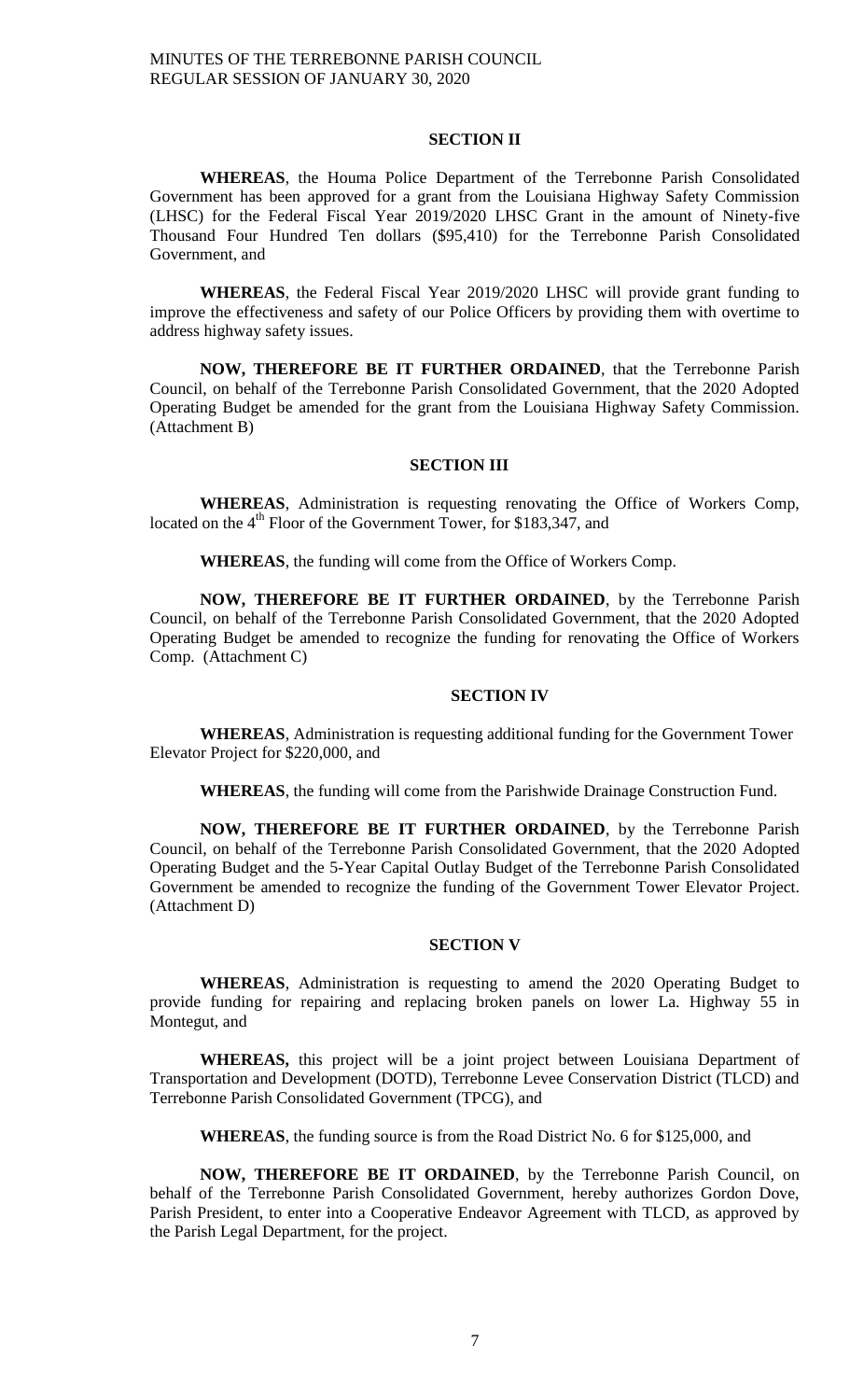### **SECTION II**

**WHEREAS**, the Houma Police Department of the Terrebonne Parish Consolidated Government has been approved for a grant from the Louisiana Highway Safety Commission (LHSC) for the Federal Fiscal Year 2019/2020 LHSC Grant in the amount of Ninety-five Thousand Four Hundred Ten dollars (\$95,410) for the Terrebonne Parish Consolidated Government, and

**WHEREAS**, the Federal Fiscal Year 2019/2020 LHSC will provide grant funding to improve the effectiveness and safety of our Police Officers by providing them with overtime to address highway safety issues.

**NOW, THEREFORE BE IT FURTHER ORDAINED**, that the Terrebonne Parish Council, on behalf of the Terrebonne Parish Consolidated Government, that the 2020 Adopted Operating Budget be amended for the grant from the Louisiana Highway Safety Commission. (Attachment B)

### **SECTION III**

**WHEREAS**, Administration is requesting renovating the Office of Workers Comp, located on the  $4<sup>th</sup>$  Floor of the Government Tower, for \$183,347, and

**WHEREAS**, the funding will come from the Office of Workers Comp.

**NOW, THEREFORE BE IT FURTHER ORDAINED**, by the Terrebonne Parish Council, on behalf of the Terrebonne Parish Consolidated Government, that the 2020 Adopted Operating Budget be amended to recognize the funding for renovating the Office of Workers Comp. (Attachment C)

## **SECTION IV**

**WHEREAS**, Administration is requesting additional funding for the Government Tower Elevator Project for \$220,000, and

**WHEREAS**, the funding will come from the Parishwide Drainage Construction Fund.

**NOW, THEREFORE BE IT FURTHER ORDAINED**, by the Terrebonne Parish Council, on behalf of the Terrebonne Parish Consolidated Government, that the 2020 Adopted Operating Budget and the 5-Year Capital Outlay Budget of the Terrebonne Parish Consolidated Government be amended to recognize the funding of the Government Tower Elevator Project. (Attachment D)

#### **SECTION V**

**WHEREAS**, Administration is requesting to amend the 2020 Operating Budget to provide funding for repairing and replacing broken panels on lower La. Highway 55 in Montegut, and

**WHEREAS,** this project will be a joint project between Louisiana Department of Transportation and Development (DOTD), Terrebonne Levee Conservation District (TLCD) and Terrebonne Parish Consolidated Government (TPCG), and

**WHEREAS**, the funding source is from the Road District No. 6 for \$125,000, and

**NOW, THEREFORE BE IT ORDAINED**, by the Terrebonne Parish Council, on behalf of the Terrebonne Parish Consolidated Government, hereby authorizes Gordon Dove, Parish President, to enter into a Cooperative Endeavor Agreement with TLCD, as approved by the Parish Legal Department, for the project.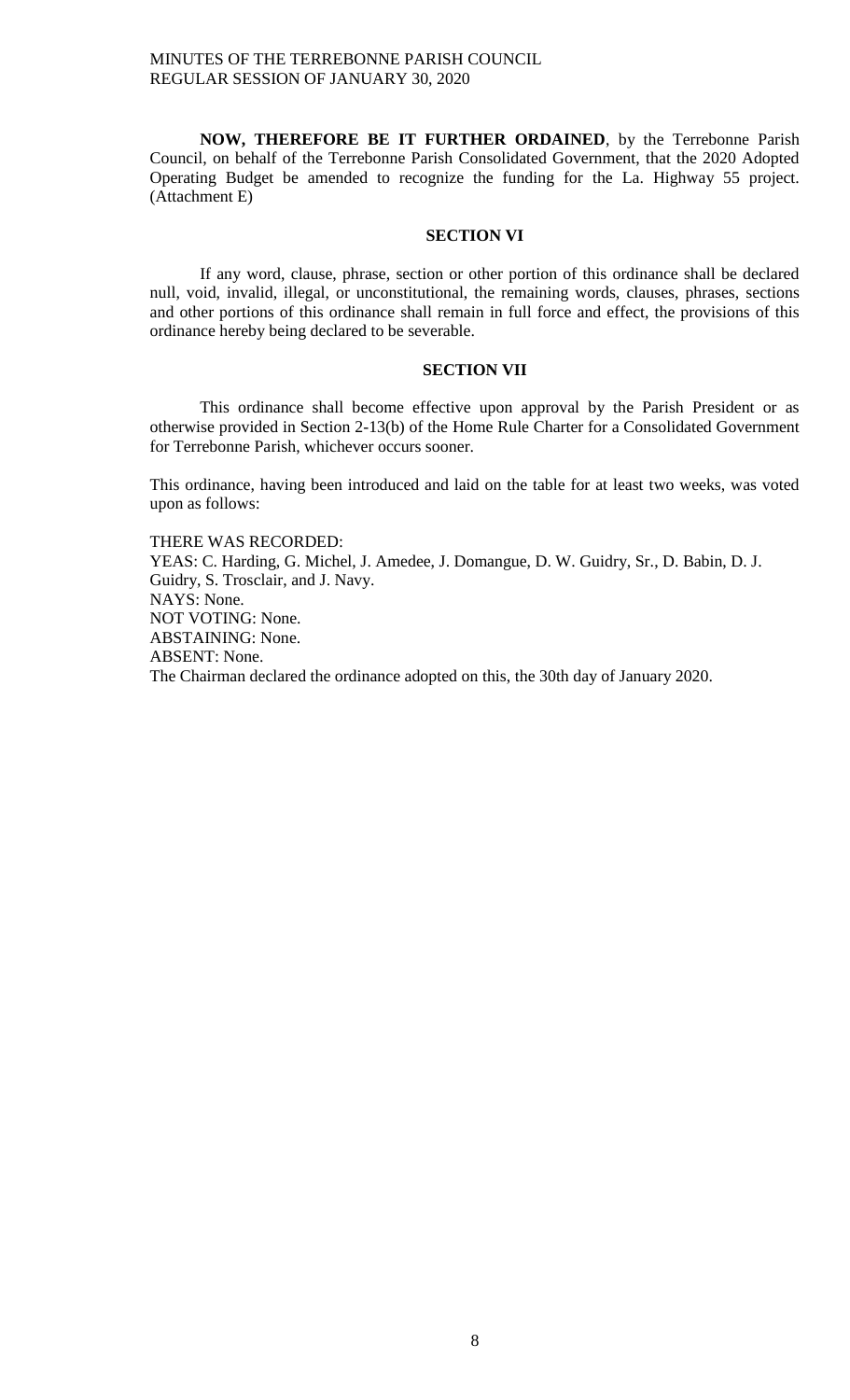**NOW, THEREFORE BE IT FURTHER ORDAINED**, by the Terrebonne Parish Council, on behalf of the Terrebonne Parish Consolidated Government, that the 2020 Adopted Operating Budget be amended to recognize the funding for the La. Highway 55 project. (Attachment E)

## **SECTION VI**

If any word, clause, phrase, section or other portion of this ordinance shall be declared null, void, invalid, illegal, or unconstitutional, the remaining words, clauses, phrases, sections and other portions of this ordinance shall remain in full force and effect, the provisions of this ordinance hereby being declared to be severable.

#### **SECTION VII**

This ordinance shall become effective upon approval by the Parish President or as otherwise provided in Section 2-13(b) of the Home Rule Charter for a Consolidated Government for Terrebonne Parish, whichever occurs sooner.

This ordinance, having been introduced and laid on the table for at least two weeks, was voted upon as follows:

THERE WAS RECORDED:

YEAS: C. Harding, G. Michel, J. Amedee, J. Domangue, D. W. Guidry, Sr., D. Babin, D. J. Guidry, S. Trosclair, and J. Navy. NAYS: None. NOT VOTING: None. ABSTAINING: None. ABSENT: None. The Chairman declared the ordinance adopted on this, the 30th day of January 2020.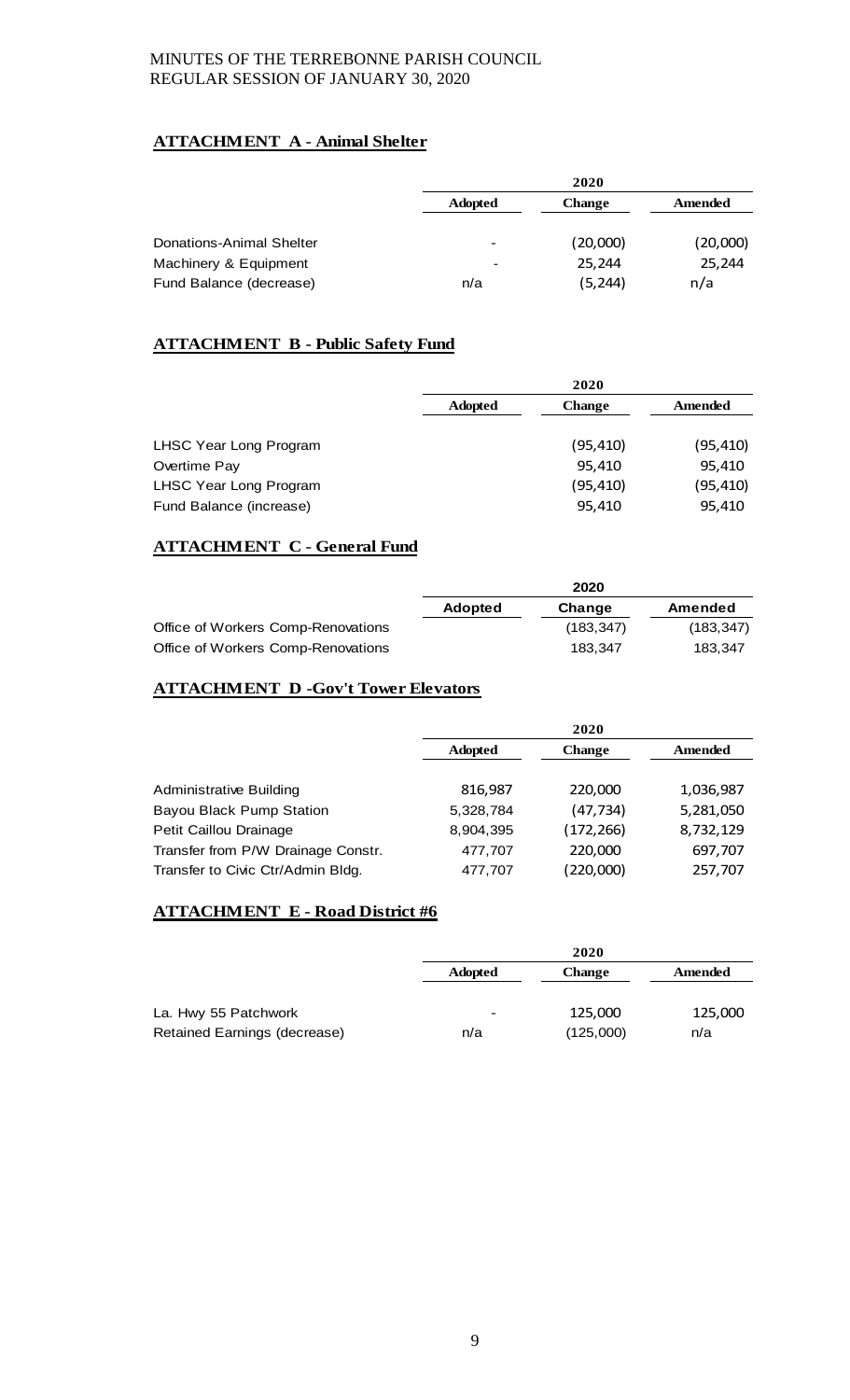# **ATTACHMENT A - Animal Shelter**

|                          |                          | 2020          |          |
|--------------------------|--------------------------|---------------|----------|
|                          | <b>Adopted</b>           | <b>Change</b> | Amended  |
| Donations-Animal Shelter | $\overline{\phantom{0}}$ | (20,000)      | (20,000) |
| Machinery & Equipment    | -                        | 25,244        | 25,244   |
| Fund Balance (decrease)  | n/a                      | (5, 244)      | n/a      |

# **ATTACHMENT B - Public Safety Fund**

|                         | 2020           |               |           |
|-------------------------|----------------|---------------|-----------|
|                         | <b>Adopted</b> | <b>Change</b> | Amended   |
|                         |                |               |           |
| LHSC Year Long Program  |                | (95, 410)     | (95, 410) |
| Overtime Pay            |                | 95.410        | 95,410    |
| LHSC Year Long Program  |                | (95, 410)     | (95, 410) |
| Fund Balance (increase) |                | 95.410        | 95,410    |

# **ATTACHMENT C - General Fund**

|                                    |                | 2020       |            |
|------------------------------------|----------------|------------|------------|
|                                    | <b>Adopted</b> | Change     | Amended    |
| Office of Workers Comp-Renovations |                | (183, 347) | (183, 347) |
| Office of Workers Comp-Renovations |                | 183.347    | 183.347    |

# **ATTACHMENT D -Gov't Tower Elevators**

|                                    | 2020           |               |           |
|------------------------------------|----------------|---------------|-----------|
|                                    | <b>Adopted</b> | <b>Change</b> | Amended   |
|                                    |                |               |           |
| <b>Administrative Building</b>     | 816,987        | 220,000       | 1,036,987 |
| Bayou Black Pump Station           | 5,328,784      | (47, 734)     | 5,281,050 |
| Petit Caillou Drainage             | 8,904,395      | (172, 266)    | 8,732,129 |
| Transfer from P/W Drainage Constr. | 477,707        | 220,000       | 697,707   |
| Transfer to Civic Ctr/Admin Bldg.  | 477,707        | (220,000)     | 257,707   |

# **ATTACHMENT E - Road District #6**

|                              | 2020           |               |         |
|------------------------------|----------------|---------------|---------|
|                              | <b>Adopted</b> | <b>Change</b> | Amended |
|                              |                |               |         |
| La. Hwy 55 Patchwork         | -              | 125,000       | 125,000 |
| Retained Earnings (decrease) | n/a            | (125,000)     | n/a     |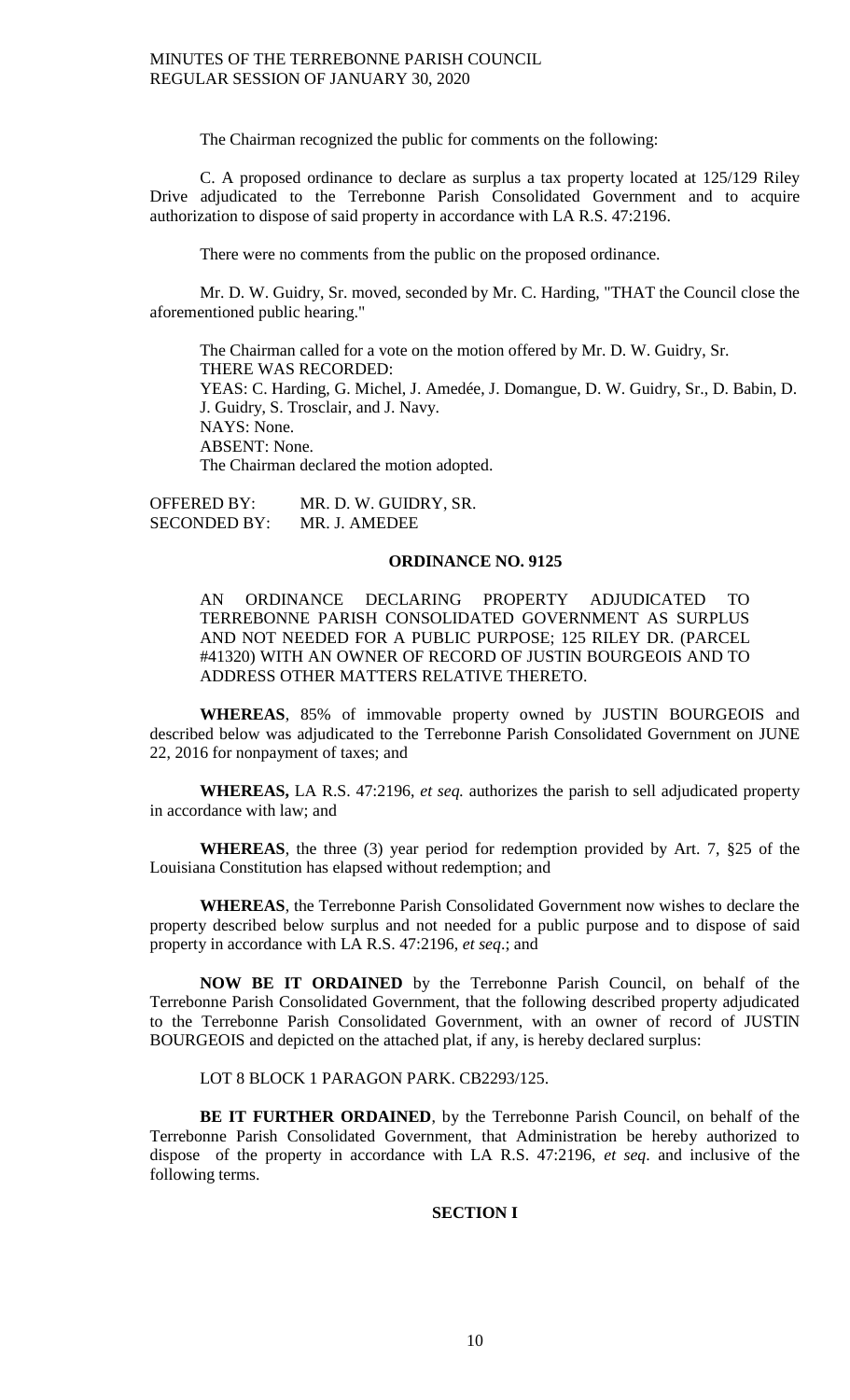The Chairman recognized the public for comments on the following:

C. A proposed ordinance to declare as surplus a tax property located at 125/129 Riley Drive adjudicated to the Terrebonne Parish Consolidated Government and to acquire authorization to dispose of said property in accordance with LA R.S. 47:2196.

There were no comments from the public on the proposed ordinance.

Mr. D. W. Guidry, Sr. moved, seconded by Mr. C. Harding, "THAT the Council close the aforementioned public hearing."

The Chairman called for a vote on the motion offered by Mr. D. W. Guidry, Sr. THERE WAS RECORDED: YEAS: C. Harding, G. Michel, J. Amedée, J. Domangue, D. W. Guidry, Sr., D. Babin, D. J. Guidry, S. Trosclair, and J. Navy. NAYS: None. ABSENT: None. The Chairman declared the motion adopted.

OFFERED BY: MR. D. W. GUIDRY, SR. SECONDED BY: MR. J. AMEDEE

#### **ORDINANCE NO. 9125**

AN ORDINANCE DECLARING PROPERTY ADJUDICATED TO TERREBONNE PARISH CONSOLIDATED GOVERNMENT AS SURPLUS AND NOT NEEDED FOR A PUBLIC PURPOSE; 125 RILEY DR. (PARCEL #41320) WITH AN OWNER OF RECORD OF JUSTIN BOURGEOIS AND TO ADDRESS OTHER MATTERS RELATIVE THERETO.

**WHEREAS**, 85% of immovable property owned by JUSTIN BOURGEOIS and described below was adjudicated to the Terrebonne Parish Consolidated Government on JUNE 22, 2016 for nonpayment of taxes; and

**WHEREAS,** LA R.S. 47:2196, *et seq.* authorizes the parish to sell adjudicated property in accordance with law; and

**WHEREAS**, the three (3) year period for redemption provided by Art. 7, §25 of the Louisiana Constitution has elapsed without redemption; and

**WHEREAS**, the Terrebonne Parish Consolidated Government now wishes to declare the property described below surplus and not needed for a public purpose and to dispose of said property in accordance with LA R.S. 47:2196, *et seq*.; and

**NOW BE IT ORDAINED** by the Terrebonne Parish Council, on behalf of the Terrebonne Parish Consolidated Government, that the following described property adjudicated to the Terrebonne Parish Consolidated Government, with an owner of record of JUSTIN BOURGEOIS and depicted on the attached plat, if any, is hereby declared surplus:

LOT 8 BLOCK 1 PARAGON PARK. CB2293/125.

**BE IT FURTHER ORDAINED**, by the Terrebonne Parish Council, on behalf of the Terrebonne Parish Consolidated Government, that Administration be hereby authorized to dispose of the property in accordance with LA R.S. 47:2196, *et seq*. and inclusive of the following terms.

#### **SECTION I**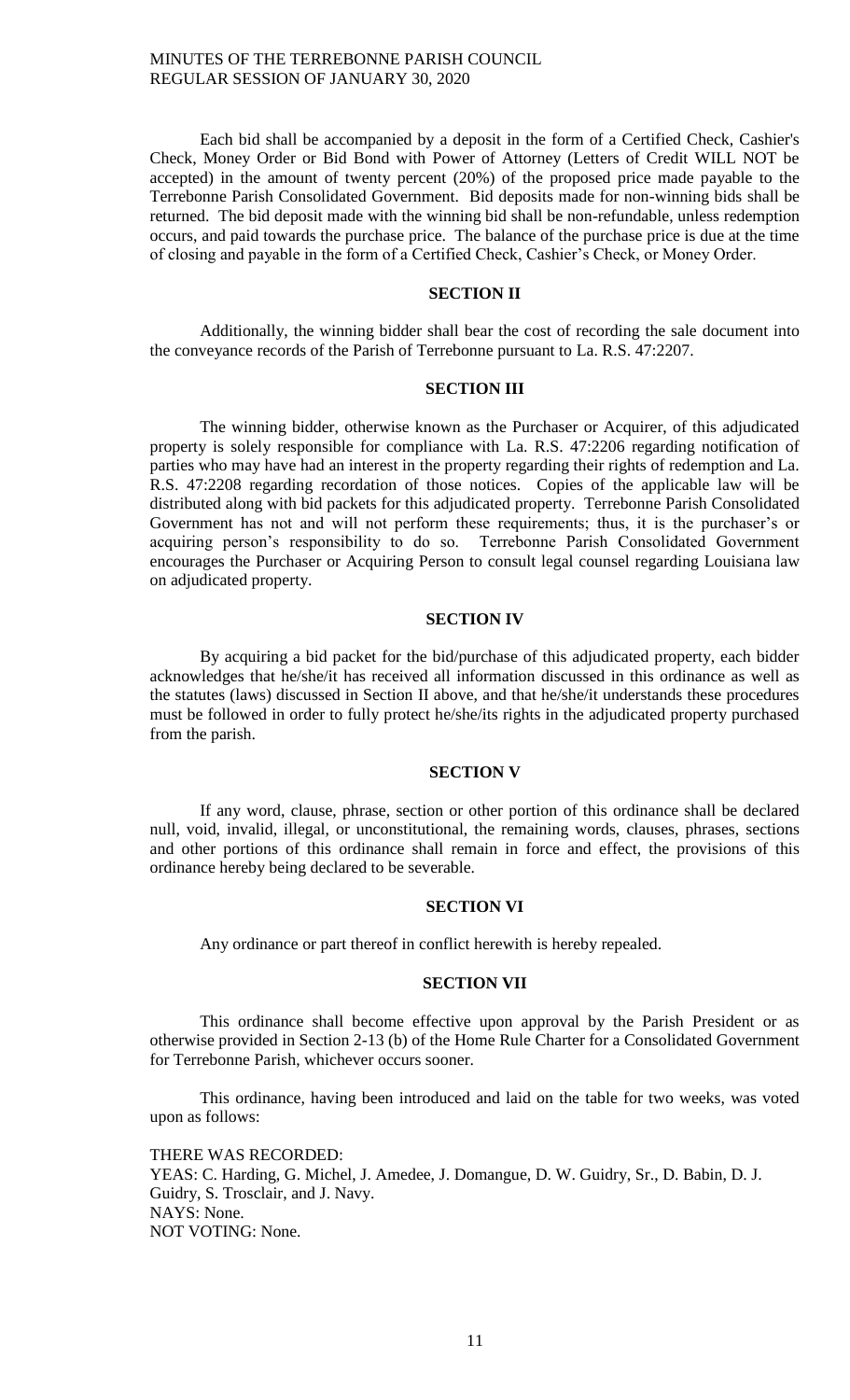Each bid shall be accompanied by a deposit in the form of a Certified Check, Cashier's Check, Money Order or Bid Bond with Power of Attorney (Letters of Credit WILL NOT be accepted) in the amount of twenty percent (20%) of the proposed price made payable to the Terrebonne Parish Consolidated Government. Bid deposits made for non-winning bids shall be returned. The bid deposit made with the winning bid shall be non-refundable, unless redemption occurs, and paid towards the purchase price. The balance of the purchase price is due at the time of closing and payable in the form of a Certified Check, Cashier's Check, or Money Order.

### **SECTION II**

Additionally, the winning bidder shall bear the cost of recording the sale document into the conveyance records of the Parish of Terrebonne pursuant to La. R.S. 47:2207.

## **SECTION III**

The winning bidder, otherwise known as the Purchaser or Acquirer, of this adjudicated property is solely responsible for compliance with La. R.S. 47:2206 regarding notification of parties who may have had an interest in the property regarding their rights of redemption and La. R.S. 47:2208 regarding recordation of those notices. Copies of the applicable law will be distributed along with bid packets for this adjudicated property. Terrebonne Parish Consolidated Government has not and will not perform these requirements; thus, it is the purchaser's or acquiring person's responsibility to do so. Terrebonne Parish Consolidated Government encourages the Purchaser or Acquiring Person to consult legal counsel regarding Louisiana law on adjudicated property.

#### **SECTION IV**

By acquiring a bid packet for the bid/purchase of this adjudicated property, each bidder acknowledges that he/she/it has received all information discussed in this ordinance as well as the statutes (laws) discussed in Section II above, and that he/she/it understands these procedures must be followed in order to fully protect he/she/its rights in the adjudicated property purchased from the parish.

# **SECTION V**

If any word, clause, phrase, section or other portion of this ordinance shall be declared null, void, invalid, illegal, or unconstitutional, the remaining words, clauses, phrases, sections and other portions of this ordinance shall remain in force and effect, the provisions of this ordinance hereby being declared to be severable.

### **SECTION VI**

Any ordinance or part thereof in conflict herewith is hereby repealed.

### **SECTION VII**

This ordinance shall become effective upon approval by the Parish President or as otherwise provided in Section 2-13 (b) of the Home Rule Charter for a Consolidated Government for Terrebonne Parish, whichever occurs sooner.

This ordinance, having been introduced and laid on the table for two weeks, was voted upon as follows:

THERE WAS RECORDED: YEAS: C. Harding, G. Michel, J. Amedee, J. Domangue, D. W. Guidry, Sr., D. Babin, D. J. Guidry, S. Trosclair, and J. Navy. NAYS: None. NOT VOTING: None.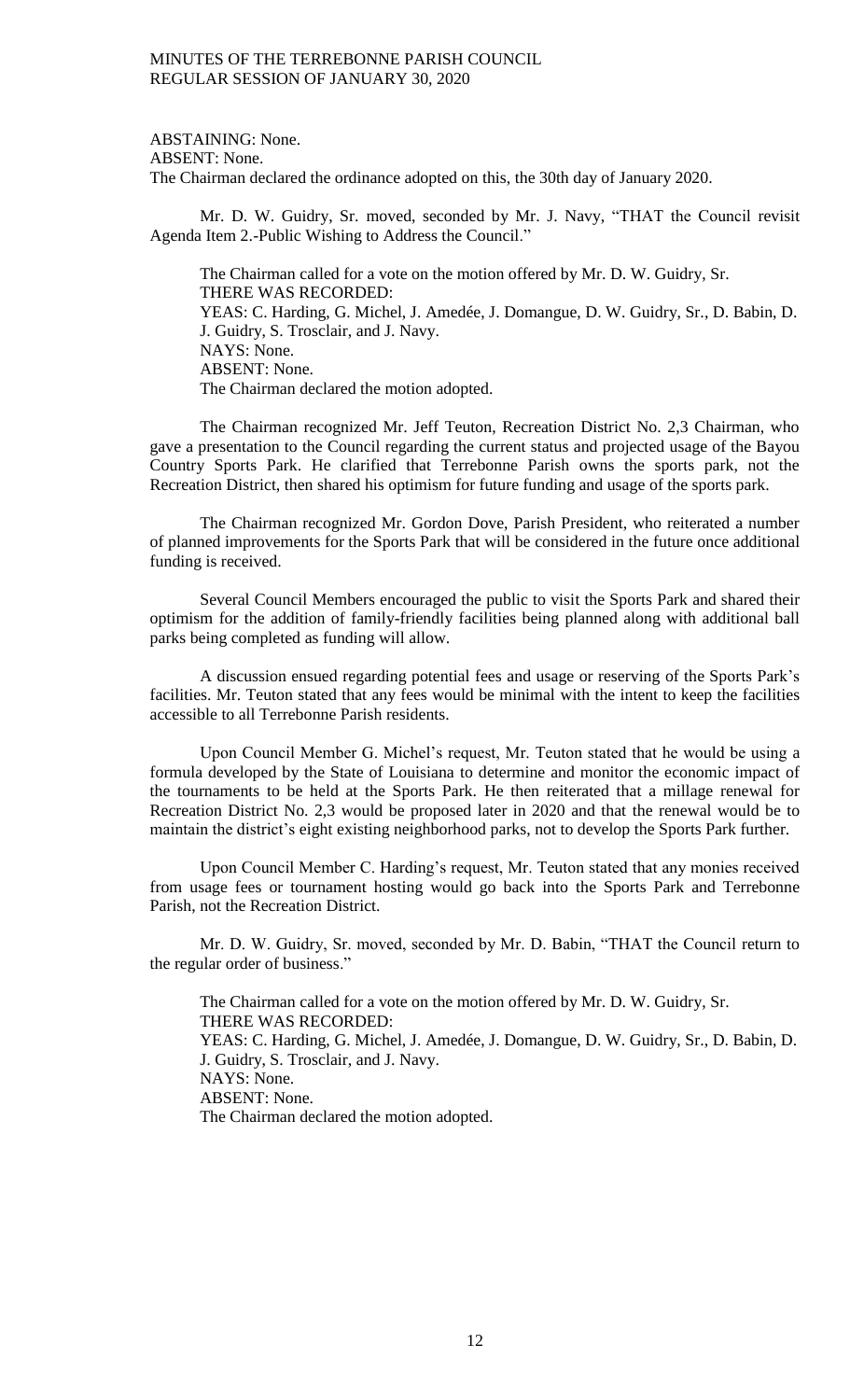ABSTAINING: None. ABSENT: None. The Chairman declared the ordinance adopted on this, the 30th day of January 2020.

Mr. D. W. Guidry, Sr. moved, seconded by Mr. J. Navy, "THAT the Council revisit Agenda Item 2.-Public Wishing to Address the Council."

The Chairman called for a vote on the motion offered by Mr. D. W. Guidry, Sr. THERE WAS RECORDED: YEAS: C. Harding, G. Michel, J. Amedée, J. Domangue, D. W. Guidry, Sr., D. Babin, D. J. Guidry, S. Trosclair, and J. Navy. NAYS: None. ABSENT: None. The Chairman declared the motion adopted.

The Chairman recognized Mr. Jeff Teuton, Recreation District No. 2,3 Chairman, who gave a presentation to the Council regarding the current status and projected usage of the Bayou Country Sports Park. He clarified that Terrebonne Parish owns the sports park, not the Recreation District, then shared his optimism for future funding and usage of the sports park.

The Chairman recognized Mr. Gordon Dove, Parish President, who reiterated a number of planned improvements for the Sports Park that will be considered in the future once additional funding is received.

Several Council Members encouraged the public to visit the Sports Park and shared their optimism for the addition of family-friendly facilities being planned along with additional ball parks being completed as funding will allow.

A discussion ensued regarding potential fees and usage or reserving of the Sports Park's facilities. Mr. Teuton stated that any fees would be minimal with the intent to keep the facilities accessible to all Terrebonne Parish residents.

Upon Council Member G. Michel's request, Mr. Teuton stated that he would be using a formula developed by the State of Louisiana to determine and monitor the economic impact of the tournaments to be held at the Sports Park. He then reiterated that a millage renewal for Recreation District No. 2,3 would be proposed later in 2020 and that the renewal would be to maintain the district's eight existing neighborhood parks, not to develop the Sports Park further.

Upon Council Member C. Harding's request, Mr. Teuton stated that any monies received from usage fees or tournament hosting would go back into the Sports Park and Terrebonne Parish, not the Recreation District.

Mr. D. W. Guidry, Sr. moved, seconded by Mr. D. Babin, "THAT the Council return to the regular order of business."

The Chairman called for a vote on the motion offered by Mr. D. W. Guidry, Sr. THERE WAS RECORDED: YEAS: C. Harding, G. Michel, J. Amedée, J. Domangue, D. W. Guidry, Sr., D. Babin, D. J. Guidry, S. Trosclair, and J. Navy. NAYS: None. ABSENT: None. The Chairman declared the motion adopted.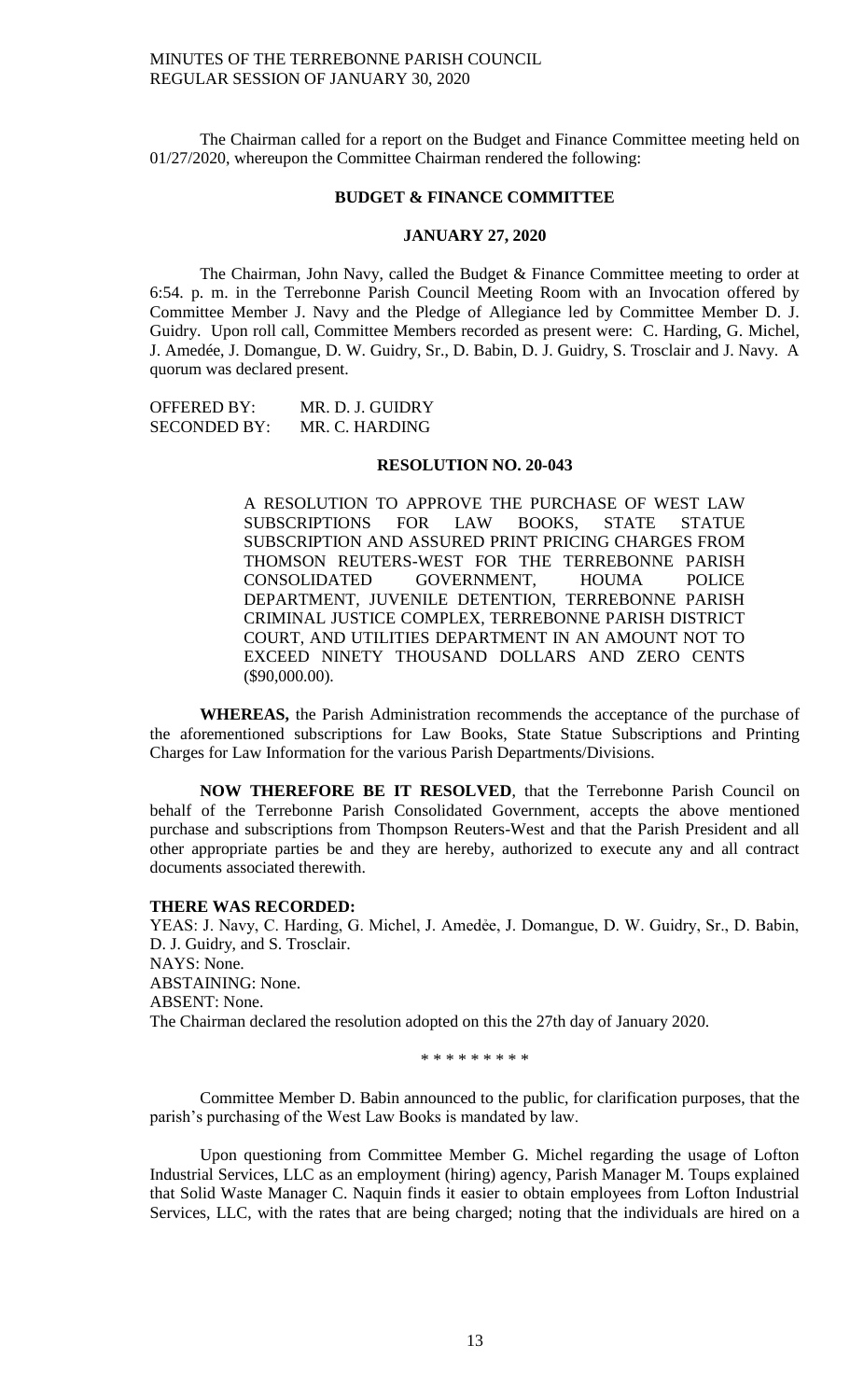The Chairman called for a report on the Budget and Finance Committee meeting held on 01/27/2020, whereupon the Committee Chairman rendered the following:

#### **BUDGET & FINANCE COMMITTEE**

#### **JANUARY 27, 2020**

The Chairman, John Navy, called the Budget & Finance Committee meeting to order at 6:54. p. m. in the Terrebonne Parish Council Meeting Room with an Invocation offered by Committee Member J. Navy and the Pledge of Allegiance led by Committee Member D. J. Guidry. Upon roll call, Committee Members recorded as present were: C. Harding, G. Michel, J. Amedée, J. Domangue, D. W. Guidry, Sr., D. Babin, D. J. Guidry, S. Trosclair and J. Navy. A quorum was declared present.

| <b>OFFERED BY:</b>  | MR. D. J. GUIDRY |
|---------------------|------------------|
| <b>SECONDED BY:</b> | MR. C. HARDING   |

#### **RESOLUTION NO. 20-043**

A RESOLUTION TO APPROVE THE PURCHASE OF WEST LAW SUBSCRIPTIONS FOR LAW BOOKS, STATE STATUE SUBSCRIPTION AND ASSURED PRINT PRICING CHARGES FROM THOMSON REUTERS-WEST FOR THE TERREBONNE PARISH CONSOLIDATED GOVERNMENT, HOUMA POLICE DEPARTMENT, JUVENILE DETENTION, TERREBONNE PARISH CRIMINAL JUSTICE COMPLEX, TERREBONNE PARISH DISTRICT COURT, AND UTILITIES DEPARTMENT IN AN AMOUNT NOT TO EXCEED NINETY THOUSAND DOLLARS AND ZERO CENTS (\$90,000.00).

**WHEREAS,** the Parish Administration recommends the acceptance of the purchase of the aforementioned subscriptions for Law Books, State Statue Subscriptions and Printing Charges for Law Information for the various Parish Departments/Divisions.

**NOW THEREFORE BE IT RESOLVED**, that the Terrebonne Parish Council on behalf of the Terrebonne Parish Consolidated Government, accepts the above mentioned purchase and subscriptions from Thompson Reuters-West and that the Parish President and all other appropriate parties be and they are hereby, authorized to execute any and all contract documents associated therewith.

#### **THERE WAS RECORDED:**

YEAS: J. Navy, C. Harding, G. Michel, J. Amedée, J. Domangue, D. W. Guidry, Sr., D. Babin, D. J. Guidry, and S. Trosclair. NAYS: None. ABSTAINING: None. ABSENT: None. The Chairman declared the resolution adopted on this the 27th day of January 2020.

\* \* \* \* \* \* \* \* \*

Committee Member D. Babin announced to the public, for clarification purposes, that the parish's purchasing of the West Law Books is mandated by law.

Upon questioning from Committee Member G. Michel regarding the usage of Lofton Industrial Services, LLC as an employment (hiring) agency, Parish Manager M. Toups explained that Solid Waste Manager C. Naquin finds it easier to obtain employees from Lofton Industrial Services, LLC, with the rates that are being charged; noting that the individuals are hired on a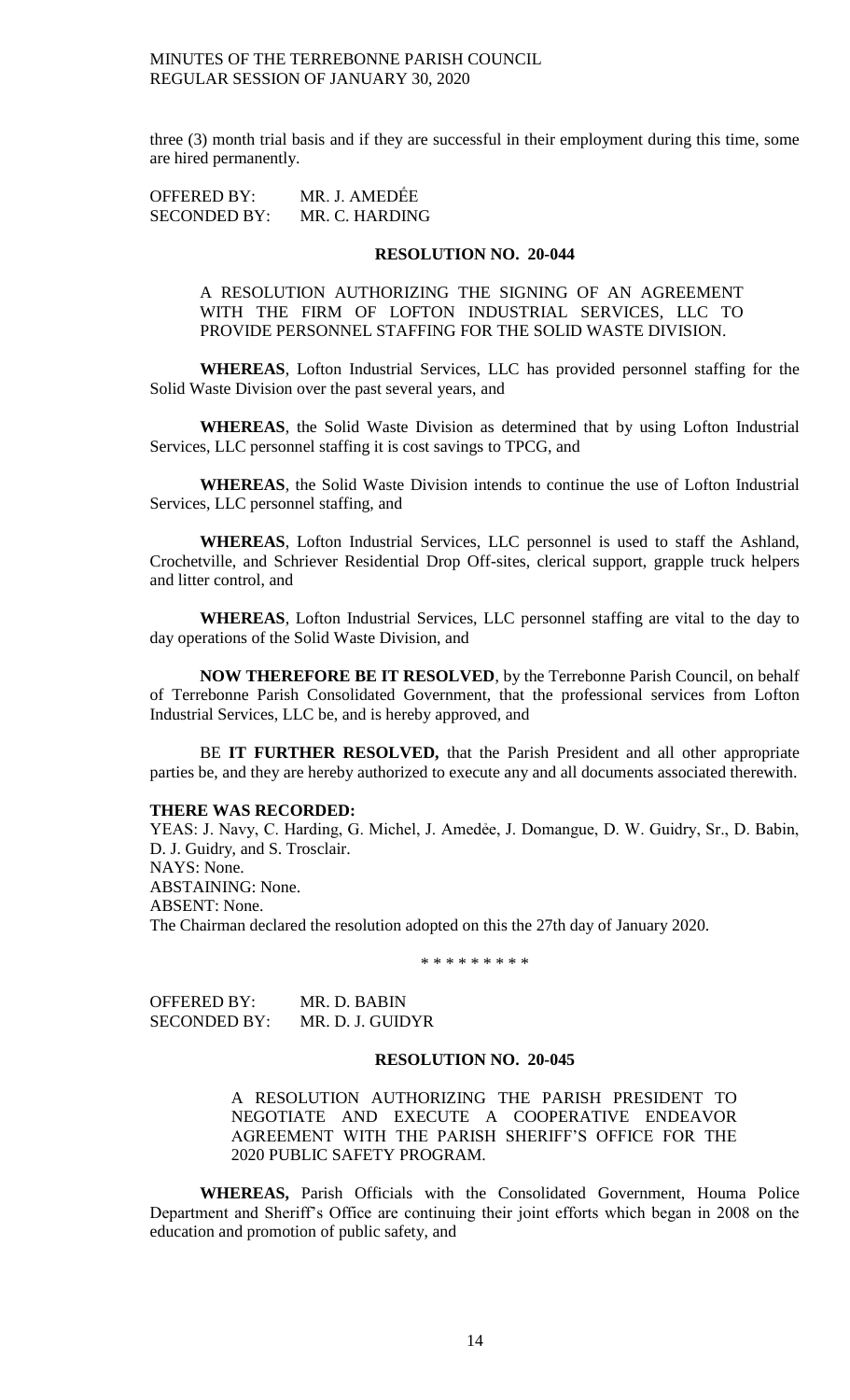three (3) month trial basis and if they are successful in their employment during this time, some are hired permanently.

OFFERED BY: MR. J. AMEDẾE SECONDED BY: MR. C. HARDING

### **RESOLUTION NO. 20-044**

A RESOLUTION AUTHORIZING THE SIGNING OF AN AGREEMENT WITH THE FIRM OF LOFTON INDUSTRIAL SERVICES, LLC TO PROVIDE PERSONNEL STAFFING FOR THE SOLID WASTE DIVISION.

**WHEREAS**, Lofton Industrial Services, LLC has provided personnel staffing for the Solid Waste Division over the past several years, and

**WHEREAS**, the Solid Waste Division as determined that by using Lofton Industrial Services, LLC personnel staffing it is cost savings to TPCG, and

**WHEREAS**, the Solid Waste Division intends to continue the use of Lofton Industrial Services, LLC personnel staffing, and

**WHEREAS**, Lofton Industrial Services, LLC personnel is used to staff the Ashland, Crochetville, and Schriever Residential Drop Off-sites, clerical support, grapple truck helpers and litter control, and

**WHEREAS**, Lofton Industrial Services, LLC personnel staffing are vital to the day to day operations of the Solid Waste Division, and

**NOW THEREFORE BE IT RESOLVED**, by the Terrebonne Parish Council, on behalf of Terrebonne Parish Consolidated Government, that the professional services from Lofton Industrial Services, LLC be, and is hereby approved, and

BE **IT FURTHER RESOLVED,** that the Parish President and all other appropriate parties be, and they are hereby authorized to execute any and all documents associated therewith.

#### **THERE WAS RECORDED:**

YEAS: J. Navy, C. Harding, G. Michel, J. Amedée, J. Domangue, D. W. Guidry, Sr., D. Babin, D. J. Guidry, and S. Trosclair. NAYS: None. ABSTAINING: None. ABSENT: None. The Chairman declared the resolution adopted on this the 27th day of January 2020.

\* \* \* \* \* \* \* \* \*

OFFERED BY: MR. D. BABIN SECONDED BY: MR. D. J. GUIDYR

#### **RESOLUTION NO. 20-045**

A RESOLUTION AUTHORIZING THE PARISH PRESIDENT TO NEGOTIATE AND EXECUTE A COOPERATIVE ENDEAVOR AGREEMENT WITH THE PARISH SHERIFF'S OFFICE FOR THE 2020 PUBLIC SAFETY PROGRAM.

**WHEREAS,** Parish Officials with the Consolidated Government, Houma Police Department and Sheriff's Office are continuing their joint efforts which began in 2008 on the education and promotion of public safety, and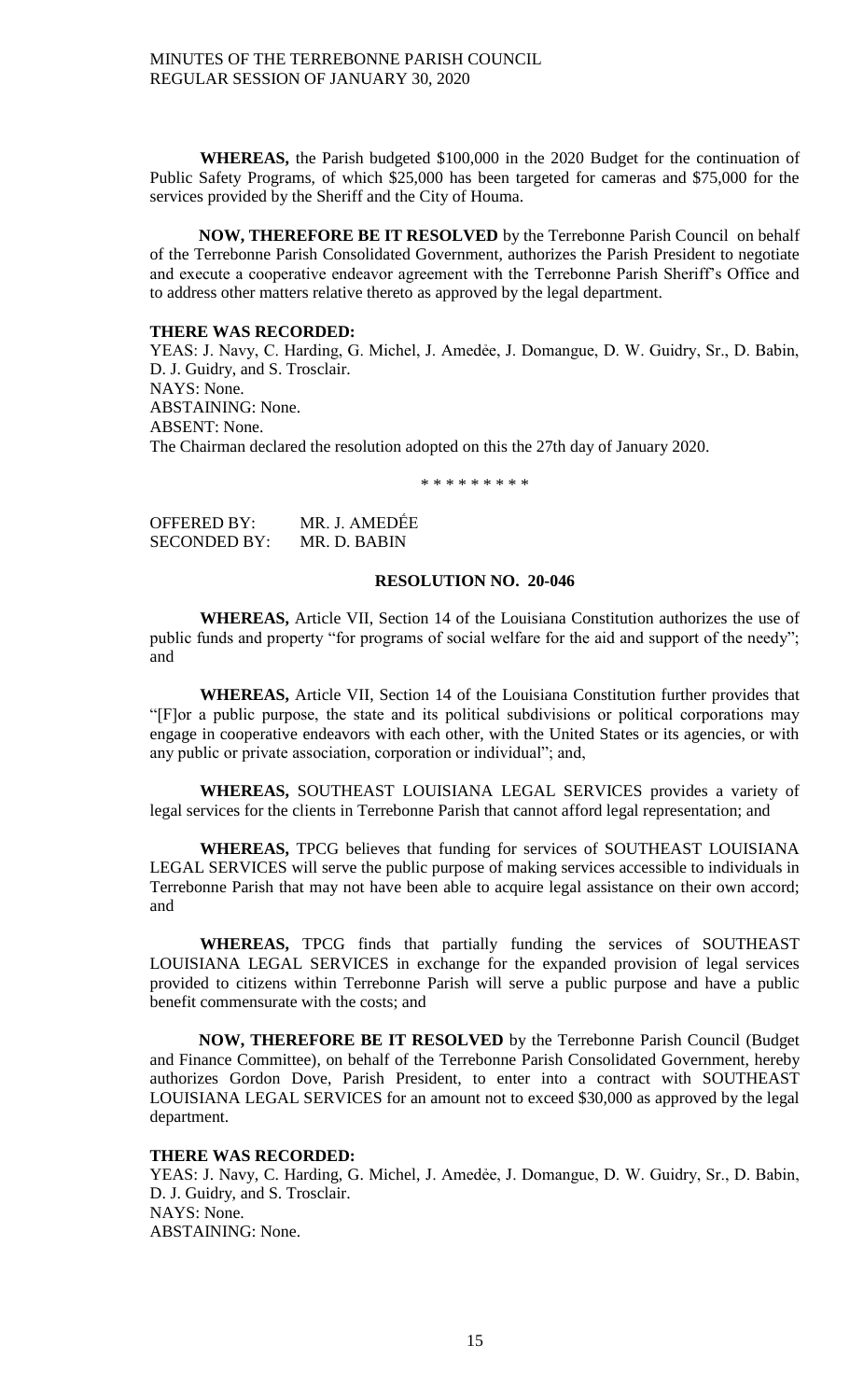**WHEREAS,** the Parish budgeted \$100,000 in the 2020 Budget for the continuation of Public Safety Programs, of which \$25,000 has been targeted for cameras and \$75,000 for the services provided by the Sheriff and the City of Houma.

**NOW, THEREFORE BE IT RESOLVED** by the Terrebonne Parish Council on behalf of the Terrebonne Parish Consolidated Government, authorizes the Parish President to negotiate and execute a cooperative endeavor agreement with the Terrebonne Parish Sheriff's Office and to address other matters relative thereto as approved by the legal department.

### **THERE WAS RECORDED:**

YEAS: J. Navy, C. Harding, G. Michel, J. Amedée, J. Domangue, D. W. Guidry, Sr., D. Babin, D. J. Guidry, and S. Trosclair. NAYS: None. ABSTAINING: None. ABSENT: None. The Chairman declared the resolution adopted on this the 27th day of January 2020.

\* \* \* \* \* \* \* \* \*

| OFFERED BY:  | MR. J. AMEDÊE |
|--------------|---------------|
| SECONDED BY: | MR. D. BABIN  |

# **RESOLUTION NO. 20-046**

**WHEREAS,** Article VII, Section 14 of the Louisiana Constitution authorizes the use of public funds and property "for programs of social welfare for the aid and support of the needy"; and

**WHEREAS,** Article VII, Section 14 of the Louisiana Constitution further provides that "[F]or a public purpose, the state and its political subdivisions or political corporations may engage in cooperative endeavors with each other, with the United States or its agencies, or with any public or private association, corporation or individual"; and,

**WHEREAS,** SOUTHEAST LOUISIANA LEGAL SERVICES provides a variety of legal services for the clients in Terrebonne Parish that cannot afford legal representation; and

**WHEREAS,** TPCG believes that funding for services of SOUTHEAST LOUISIANA LEGAL SERVICES will serve the public purpose of making services accessible to individuals in Terrebonne Parish that may not have been able to acquire legal assistance on their own accord; and

**WHEREAS,** TPCG finds that partially funding the services of SOUTHEAST LOUISIANA LEGAL SERVICES in exchange for the expanded provision of legal services provided to citizens within Terrebonne Parish will serve a public purpose and have a public benefit commensurate with the costs; and

**NOW, THEREFORE BE IT RESOLVED** by the Terrebonne Parish Council (Budget and Finance Committee), on behalf of the Terrebonne Parish Consolidated Government, hereby authorizes Gordon Dove, Parish President, to enter into a contract with SOUTHEAST LOUISIANA LEGAL SERVICES for an amount not to exceed \$30,000 as approved by the legal department.

# **THERE WAS RECORDED:**

YEAS: J. Navy, C. Harding, G. Michel, J. Amedée, J. Domangue, D. W. Guidry, Sr., D. Babin, D. J. Guidry, and S. Trosclair. NAYS: None. ABSTAINING: None.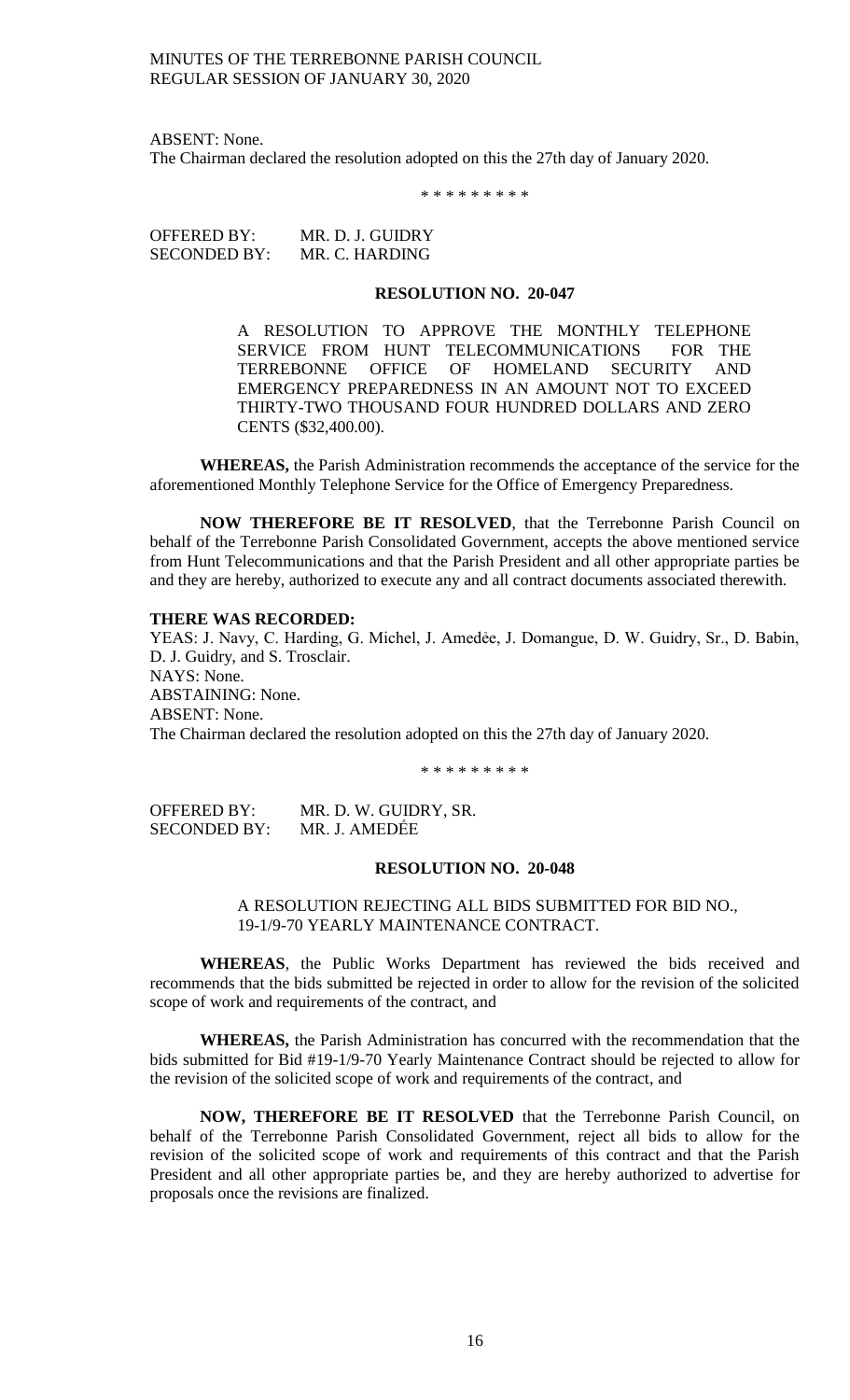ABSENT: None.

The Chairman declared the resolution adopted on this the 27th day of January 2020.

\* \* \* \* \* \* \* \* \*

OFFERED BY: MR. D. J. GUIDRY SECONDED BY: MR. C. HARDING

### **RESOLUTION NO. 20-047**

A RESOLUTION TO APPROVE THE MONTHLY TELEPHONE SERVICE FROM HUNT TELECOMMUNICATIONS FOR THE TERREBONNE OFFICE OF HOMELAND SECURITY AND EMERGENCY PREPAREDNESS IN AN AMOUNT NOT TO EXCEED THIRTY-TWO THOUSAND FOUR HUNDRED DOLLARS AND ZERO CENTS (\$32,400.00).

**WHEREAS,** the Parish Administration recommends the acceptance of the service for the aforementioned Monthly Telephone Service for the Office of Emergency Preparedness.

**NOW THEREFORE BE IT RESOLVED**, that the Terrebonne Parish Council on behalf of the Terrebonne Parish Consolidated Government, accepts the above mentioned service from Hunt Telecommunications and that the Parish President and all other appropriate parties be and they are hereby, authorized to execute any and all contract documents associated therewith.

#### **THERE WAS RECORDED:**

YEAS: J. Navy, C. Harding, G. Michel, J. Amedée, J. Domangue, D. W. Guidry, Sr., D. Babin, D. J. Guidry, and S. Trosclair. NAYS: None. ABSTAINING: None. ABSENT: None. The Chairman declared the resolution adopted on this the 27th day of January 2020.

\* \* \* \* \* \* \* \* \*

OFFERED BY: MR. D. W. GUIDRY, SR. SECONDED BY: MR. J. AMEDẾE

#### **RESOLUTION NO. 20-048**

# A RESOLUTION REJECTING ALL BIDS SUBMITTED FOR BID NO., 19-1/9-70 YEARLY MAINTENANCE CONTRACT.

**WHEREAS**, the Public Works Department has reviewed the bids received and recommends that the bids submitted be rejected in order to allow for the revision of the solicited scope of work and requirements of the contract, and

**WHEREAS,** the Parish Administration has concurred with the recommendation that the bids submitted for Bid #19-1/9-70 Yearly Maintenance Contract should be rejected to allow for the revision of the solicited scope of work and requirements of the contract, and

**NOW, THEREFORE BE IT RESOLVED** that the Terrebonne Parish Council, on behalf of the Terrebonne Parish Consolidated Government, reject all bids to allow for the revision of the solicited scope of work and requirements of this contract and that the Parish President and all other appropriate parties be, and they are hereby authorized to advertise for proposals once the revisions are finalized.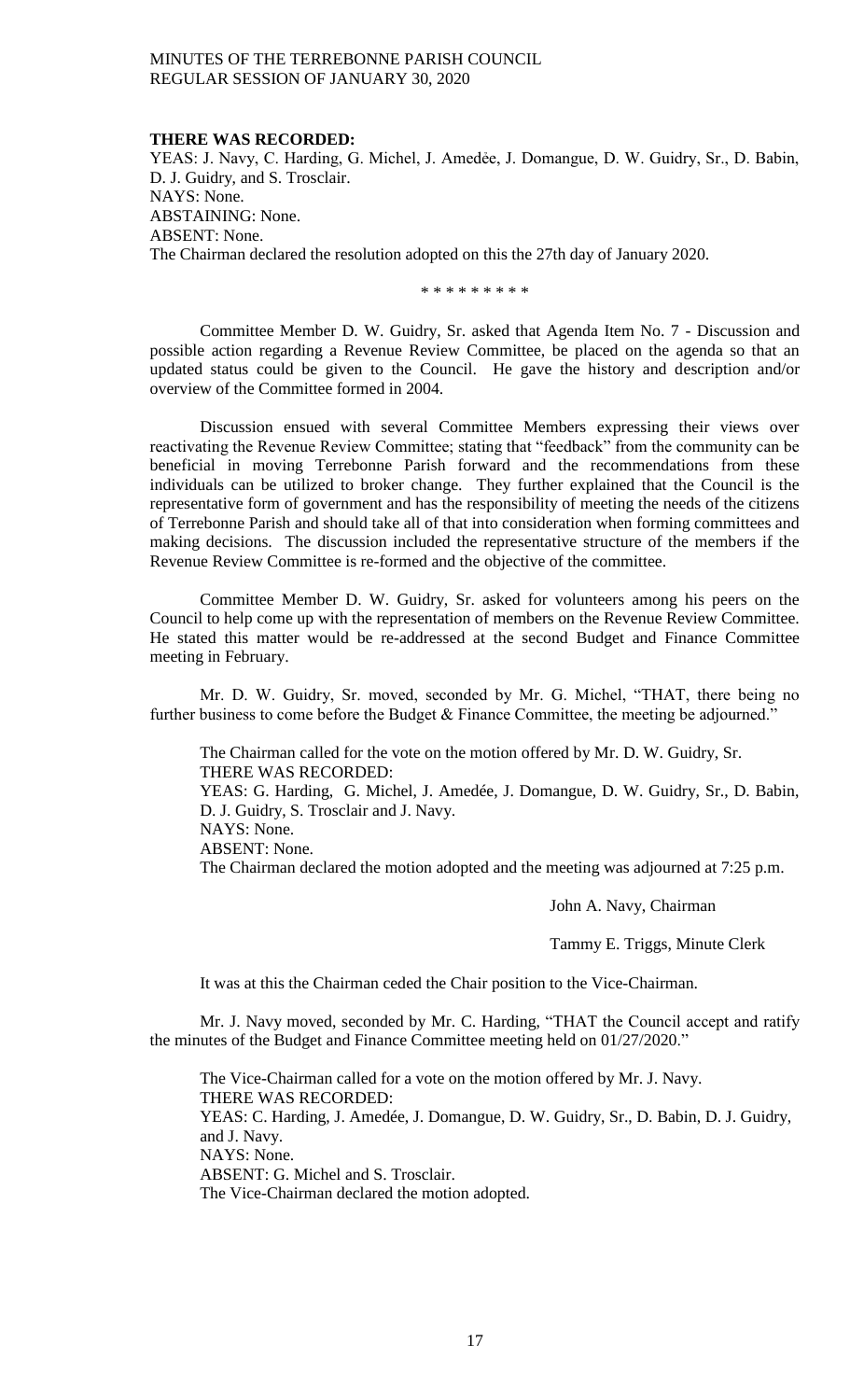#### **THERE WAS RECORDED:**

YEAS: J. Navy, C. Harding, G. Michel, J. Amedée, J. Domangue, D. W. Guidry, Sr., D. Babin, D. J. Guidry, and S. Trosclair. NAYS: None. ABSTAINING: None. ABSENT: None. The Chairman declared the resolution adopted on this the 27th day of January 2020.

\* \* \* \* \* \* \* \* \*

Committee Member D. W. Guidry, Sr. asked that Agenda Item No. 7 - Discussion and possible action regarding a Revenue Review Committee, be placed on the agenda so that an updated status could be given to the Council. He gave the history and description and/or overview of the Committee formed in 2004.

Discussion ensued with several Committee Members expressing their views over reactivating the Revenue Review Committee; stating that "feedback" from the community can be beneficial in moving Terrebonne Parish forward and the recommendations from these individuals can be utilized to broker change. They further explained that the Council is the representative form of government and has the responsibility of meeting the needs of the citizens of Terrebonne Parish and should take all of that into consideration when forming committees and making decisions. The discussion included the representative structure of the members if the Revenue Review Committee is re-formed and the objective of the committee.

Committee Member D. W. Guidry, Sr. asked for volunteers among his peers on the Council to help come up with the representation of members on the Revenue Review Committee. He stated this matter would be re-addressed at the second Budget and Finance Committee meeting in February.

Mr. D. W. Guidry, Sr. moved, seconded by Mr. G. Michel, "THAT, there being no further business to come before the Budget & Finance Committee, the meeting be adjourned."

The Chairman called for the vote on the motion offered by Mr. D. W. Guidry, Sr. THERE WAS RECORDED:

YEAS: G. Harding, G. Michel, J. Amedée, J. Domangue, D. W. Guidry, Sr., D. Babin, D. J. Guidry, S. Trosclair and J. Navy.

NAYS: None.

ABSENT: None.

The Chairman declared the motion adopted and the meeting was adjourned at 7:25 p.m.

John A. Navy, Chairman

Tammy E. Triggs, Minute Clerk

It was at this the Chairman ceded the Chair position to the Vice-Chairman.

Mr. J. Navy moved, seconded by Mr. C. Harding, "THAT the Council accept and ratify the minutes of the Budget and Finance Committee meeting held on 01/27/2020."

The Vice-Chairman called for a vote on the motion offered by Mr. J. Navy. THERE WAS RECORDED: YEAS: C. Harding, J. Amedée, J. Domangue, D. W. Guidry, Sr., D. Babin, D. J. Guidry, and J. Navy. NAYS: None. ABSENT: G. Michel and S. Trosclair. The Vice-Chairman declared the motion adopted.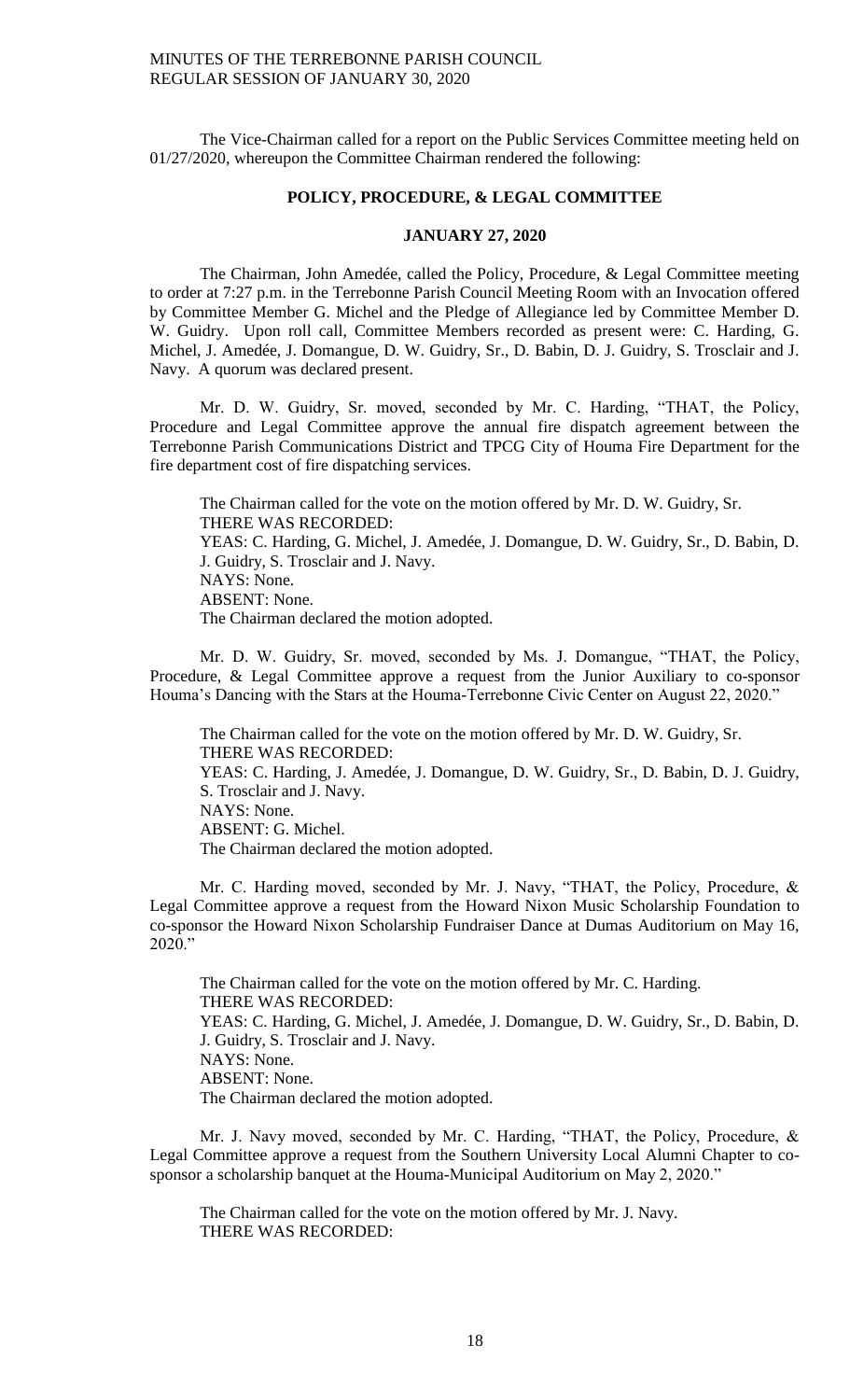The Vice-Chairman called for a report on the Public Services Committee meeting held on 01/27/2020, whereupon the Committee Chairman rendered the following:

#### **POLICY, PROCEDURE, & LEGAL COMMITTEE**

## **JANUARY 27, 2020**

The Chairman, John Amedée, called the Policy, Procedure, & Legal Committee meeting to order at 7:27 p.m. in the Terrebonne Parish Council Meeting Room with an Invocation offered by Committee Member G. Michel and the Pledge of Allegiance led by Committee Member D. W. Guidry. Upon roll call, Committee Members recorded as present were: C. Harding, G. Michel, J. Amedée, J. Domangue, D. W. Guidry, Sr., D. Babin, D. J. Guidry, S. Trosclair and J. Navy. A quorum was declared present.

Mr. D. W. Guidry, Sr. moved, seconded by Mr. C. Harding, "THAT, the Policy, Procedure and Legal Committee approve the annual fire dispatch agreement between the Terrebonne Parish Communications District and TPCG City of Houma Fire Department for the fire department cost of fire dispatching services.

The Chairman called for the vote on the motion offered by Mr. D. W. Guidry, Sr. THERE WAS RECORDED: YEAS: C. Harding, G. Michel, J. Amedée, J. Domangue, D. W. Guidry, Sr., D. Babin, D. J. Guidry, S. Trosclair and J. Navy. NAYS: None. ABSENT: None. The Chairman declared the motion adopted.

Mr. D. W. Guidry, Sr. moved, seconded by Ms. J. Domangue, "THAT, the Policy, Procedure, & Legal Committee approve a request from the Junior Auxiliary to co-sponsor Houma's Dancing with the Stars at the Houma-Terrebonne Civic Center on August 22, 2020."

The Chairman called for the vote on the motion offered by Mr. D. W. Guidry, Sr. THERE WAS RECORDED: YEAS: C. Harding, J. Amedée, J. Domangue, D. W. Guidry, Sr., D. Babin, D. J. Guidry, S. Trosclair and J. Navy. NAYS: None. ABSENT: G. Michel. The Chairman declared the motion adopted.

Mr. C. Harding moved, seconded by Mr. J. Navy, "THAT, the Policy, Procedure, & Legal Committee approve a request from the Howard Nixon Music Scholarship Foundation to co-sponsor the Howard Nixon Scholarship Fundraiser Dance at Dumas Auditorium on May 16, 2020."

The Chairman called for the vote on the motion offered by Mr. C. Harding. THERE WAS RECORDED: YEAS: C. Harding, G. Michel, J. Amedée, J. Domangue, D. W. Guidry, Sr., D. Babin, D. J. Guidry, S. Trosclair and J. Navy. NAYS: None. ABSENT: None. The Chairman declared the motion adopted.

Mr. J. Navy moved, seconded by Mr. C. Harding, "THAT, the Policy, Procedure, & Legal Committee approve a request from the Southern University Local Alumni Chapter to cosponsor a scholarship banquet at the Houma-Municipal Auditorium on May 2, 2020."

The Chairman called for the vote on the motion offered by Mr. J. Navy. THERE WAS RECORDED: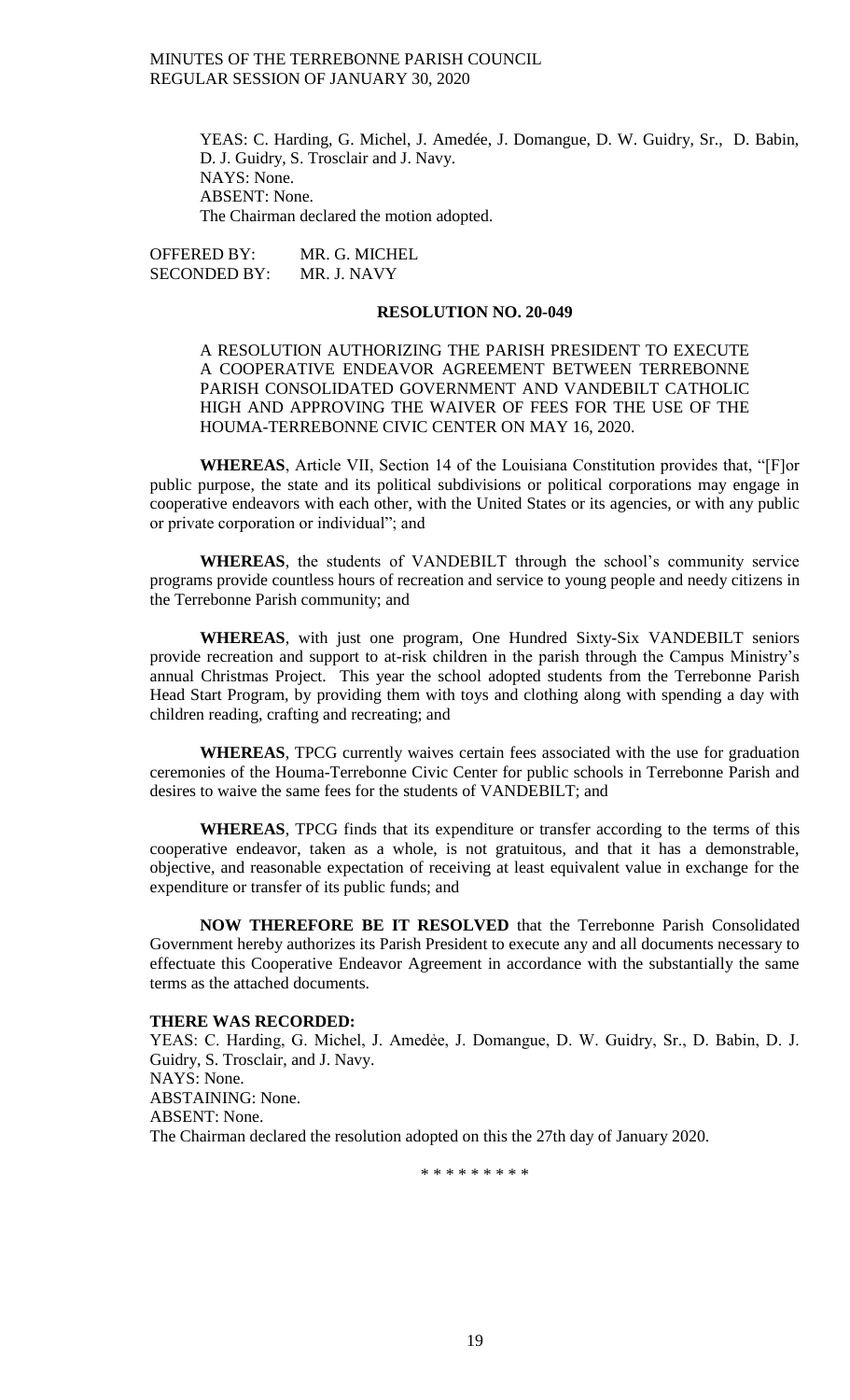YEAS: C. Harding, G. Michel, J. Amedée, J. Domangue, D. W. Guidry, Sr., D. Babin, D. J. Guidry, S. Trosclair and J. Navy. NAYS: None. ABSENT: None. The Chairman declared the motion adopted.

OFFERED BY: MR. G. MICHEL SECONDED BY: MR. J. NAVY

#### **RESOLUTION NO. 20-049**

A RESOLUTION AUTHORIZING THE PARISH PRESIDENT TO EXECUTE A COOPERATIVE ENDEAVOR AGREEMENT BETWEEN TERREBONNE PARISH CONSOLIDATED GOVERNMENT AND VANDEBILT CATHOLIC HIGH AND APPROVING THE WAIVER OF FEES FOR THE USE OF THE HOUMA-TERREBONNE CIVIC CENTER ON MAY 16, 2020.

**WHEREAS**, Article VII, Section 14 of the Louisiana Constitution provides that, "[F]or public purpose, the state and its political subdivisions or political corporations may engage in cooperative endeavors with each other, with the United States or its agencies, or with any public or private corporation or individual"; and

**WHEREAS**, the students of VANDEBILT through the school's community service programs provide countless hours of recreation and service to young people and needy citizens in the Terrebonne Parish community; and

**WHEREAS**, with just one program, One Hundred Sixty-Six VANDEBILT seniors provide recreation and support to at-risk children in the parish through the Campus Ministry's annual Christmas Project. This year the school adopted students from the Terrebonne Parish Head Start Program, by providing them with toys and clothing along with spending a day with children reading, crafting and recreating; and

**WHEREAS**, TPCG currently waives certain fees associated with the use for graduation ceremonies of the Houma-Terrebonne Civic Center for public schools in Terrebonne Parish and desires to waive the same fees for the students of VANDEBILT; and

**WHEREAS**, TPCG finds that its expenditure or transfer according to the terms of this cooperative endeavor, taken as a whole, is not gratuitous, and that it has a demonstrable, objective, and reasonable expectation of receiving at least equivalent value in exchange for the expenditure or transfer of its public funds; and

**NOW THEREFORE BE IT RESOLVED** that the Terrebonne Parish Consolidated Government hereby authorizes its Parish President to execute any and all documents necessary to effectuate this Cooperative Endeavor Agreement in accordance with the substantially the same terms as the attached documents.

#### **THERE WAS RECORDED:**

YEAS: C. Harding, G. Michel, J. Amedée, J. Domangue, D. W. Guidry, Sr., D. Babin, D. J. Guidry, S. Trosclair, and J. Navy. NAYS: None. ABSTAINING: None. ABSENT: None. The Chairman declared the resolution adopted on this the 27th day of January 2020.

\* \* \* \* \* \* \* \* \*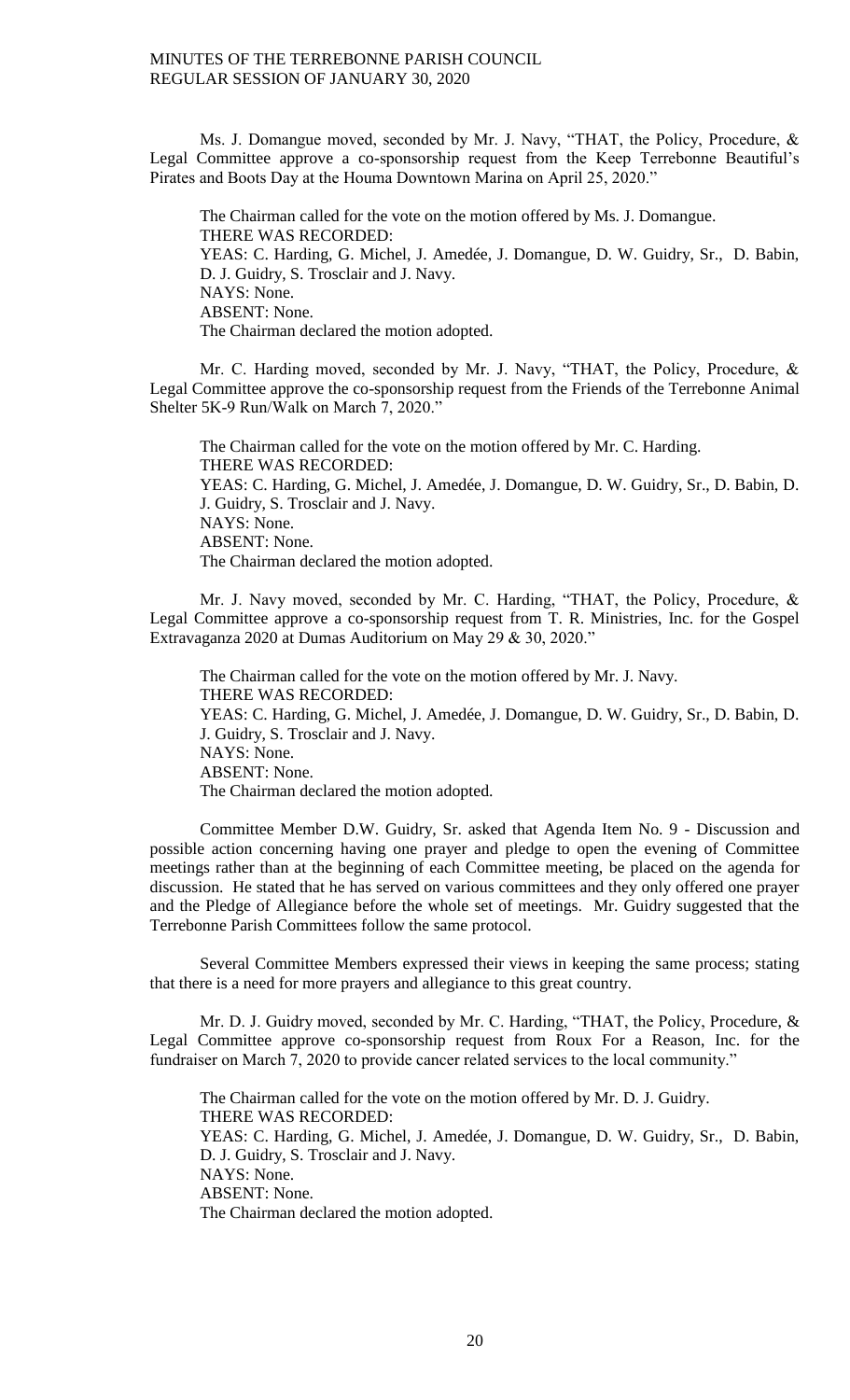Ms. J. Domangue moved, seconded by Mr. J. Navy, "THAT, the Policy, Procedure, & Legal Committee approve a co-sponsorship request from the Keep Terrebonne Beautiful's Pirates and Boots Day at the Houma Downtown Marina on April 25, 2020."

The Chairman called for the vote on the motion offered by Ms. J. Domangue. THERE WAS RECORDED: YEAS: C. Harding, G. Michel, J. Amedée, J. Domangue, D. W. Guidry, Sr., D. Babin, D. J. Guidry, S. Trosclair and J. Navy. NAYS: None. ABSENT: None. The Chairman declared the motion adopted.

Mr. C. Harding moved, seconded by Mr. J. Navy, "THAT, the Policy, Procedure, & Legal Committee approve the co-sponsorship request from the Friends of the Terrebonne Animal Shelter 5K-9 Run/Walk on March 7, 2020."

The Chairman called for the vote on the motion offered by Mr. C. Harding. THERE WAS RECORDED: YEAS: C. Harding, G. Michel, J. Amedée, J. Domangue, D. W. Guidry, Sr., D. Babin, D. J. Guidry, S. Trosclair and J. Navy. NAYS: None. ABSENT: None. The Chairman declared the motion adopted.

Mr. J. Navy moved, seconded by Mr. C. Harding, "THAT, the Policy, Procedure, & Legal Committee approve a co-sponsorship request from T. R. Ministries, Inc. for the Gospel Extravaganza 2020 at Dumas Auditorium on May 29 & 30, 2020."

The Chairman called for the vote on the motion offered by Mr. J. Navy. THERE WAS RECORDED: YEAS: C. Harding, G. Michel, J. Amedée, J. Domangue, D. W. Guidry, Sr., D. Babin, D. J. Guidry, S. Trosclair and J. Navy. NAYS: None. ABSENT: None. The Chairman declared the motion adopted.

Committee Member D.W. Guidry, Sr. asked that Agenda Item No. 9 - Discussion and possible action concerning having one prayer and pledge to open the evening of Committee meetings rather than at the beginning of each Committee meeting, be placed on the agenda for discussion. He stated that he has served on various committees and they only offered one prayer and the Pledge of Allegiance before the whole set of meetings. Mr. Guidry suggested that the Terrebonne Parish Committees follow the same protocol.

Several Committee Members expressed their views in keeping the same process; stating that there is a need for more prayers and allegiance to this great country.

Mr. D. J. Guidry moved, seconded by Mr. C. Harding, "THAT, the Policy, Procedure, & Legal Committee approve co-sponsorship request from Roux For a Reason, Inc. for the fundraiser on March 7, 2020 to provide cancer related services to the local community."

The Chairman called for the vote on the motion offered by Mr. D. J. Guidry. THERE WAS RECORDED: YEAS: C. Harding, G. Michel, J. Amedée, J. Domangue, D. W. Guidry, Sr., D. Babin, D. J. Guidry, S. Trosclair and J. Navy. NAYS: None. ABSENT: None. The Chairman declared the motion adopted.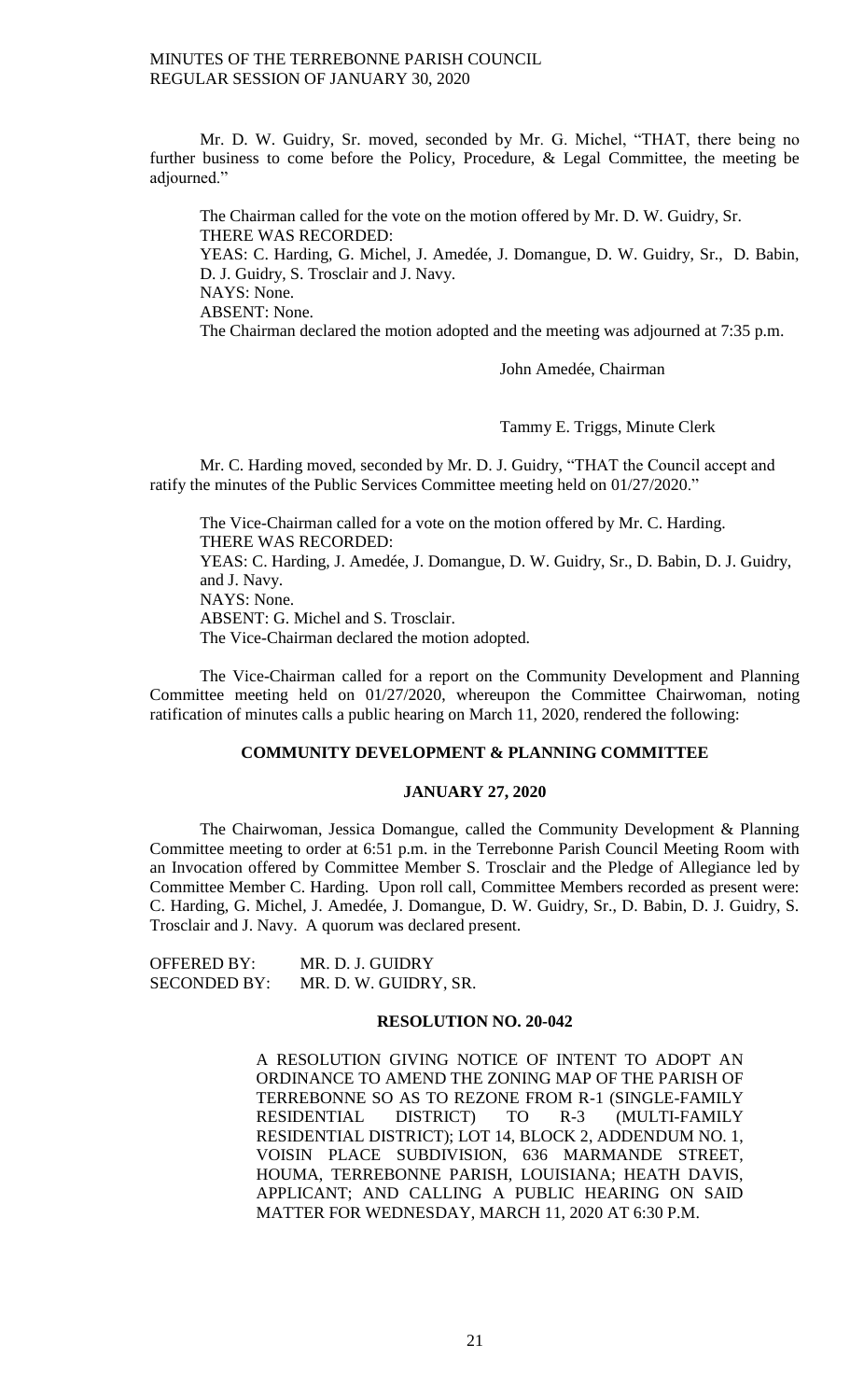Mr. D. W. Guidry, Sr. moved, seconded by Mr. G. Michel, "THAT, there being no further business to come before the Policy, Procedure, & Legal Committee, the meeting be adjourned."

The Chairman called for the vote on the motion offered by Mr. D. W. Guidry, Sr. THERE WAS RECORDED: YEAS: C. Harding, G. Michel, J. Amedée, J. Domangue, D. W. Guidry, Sr., D. Babin, D. J. Guidry, S. Trosclair and J. Navy. NAYS: None. ABSENT: None. The Chairman declared the motion adopted and the meeting was adjourned at 7:35 p.m.

John Amedée, Chairman

Tammy E. Triggs, Minute Clerk

Mr. C. Harding moved, seconded by Mr. D. J. Guidry, "THAT the Council accept and ratify the minutes of the Public Services Committee meeting held on 01/27/2020."

The Vice-Chairman called for a vote on the motion offered by Mr. C. Harding. THERE WAS RECORDED: YEAS: C. Harding, J. Amedée, J. Domangue, D. W. Guidry, Sr., D. Babin, D. J. Guidry, and J. Navy. NAYS: None. ABSENT: G. Michel and S. Trosclair. The Vice-Chairman declared the motion adopted.

The Vice-Chairman called for a report on the Community Development and Planning Committee meeting held on 01/27/2020, whereupon the Committee Chairwoman, noting ratification of minutes calls a public hearing on March 11, 2020, rendered the following:

### **COMMUNITY DEVELOPMENT & PLANNING COMMITTEE**

## **JANUARY 27, 2020**

The Chairwoman, Jessica Domangue, called the Community Development & Planning Committee meeting to order at 6:51 p.m. in the Terrebonne Parish Council Meeting Room with an Invocation offered by Committee Member S. Trosclair and the Pledge of Allegiance led by Committee Member C. Harding. Upon roll call, Committee Members recorded as present were: C. Harding, G. Michel, J. Amedée, J. Domangue, D. W. Guidry, Sr., D. Babin, D. J. Guidry, S. Trosclair and J. Navy. A quorum was declared present.

OFFERED BY: MR. D. J. GUIDRY SECONDED BY: MR. D. W. GUIDRY, SR.

#### **RESOLUTION NO. 20-042**

A RESOLUTION GIVING NOTICE OF INTENT TO ADOPT AN ORDINANCE TO AMEND THE ZONING MAP OF THE PARISH OF TERREBONNE SO AS TO REZONE FROM R-1 (SINGLE-FAMILY RESIDENTIAL DISTRICT) TO R-3 (MULTI-FAMILY RESIDENTIAL DISTRICT); LOT 14, BLOCK 2, ADDENDUM NO. 1, VOISIN PLACE SUBDIVISION, 636 MARMANDE STREET, HOUMA, TERREBONNE PARISH, LOUISIANA; HEATH DAVIS, APPLICANT; AND CALLING A PUBLIC HEARING ON SAID MATTER FOR WEDNESDAY, MARCH 11, 2020 AT 6:30 P.M.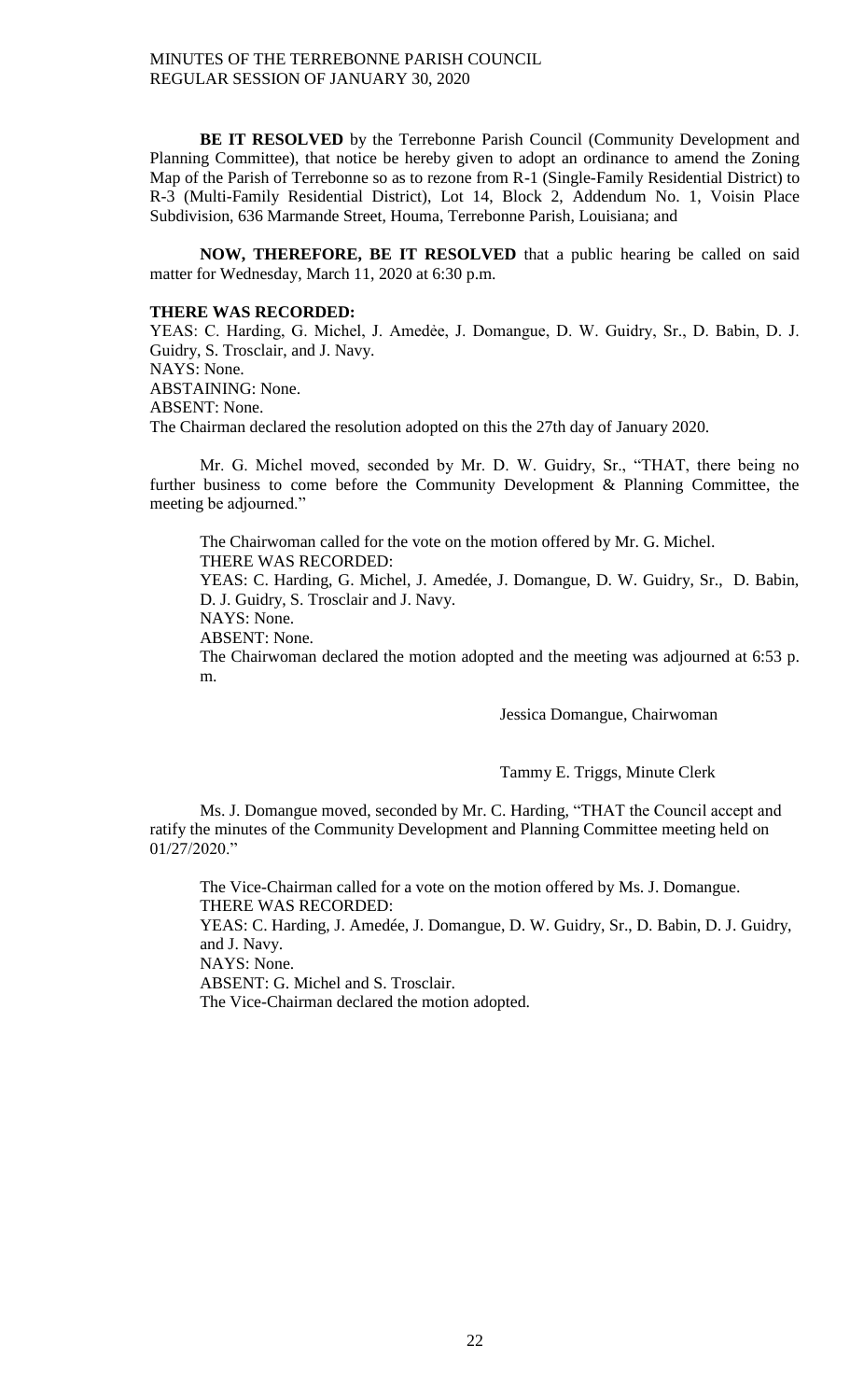**BE IT RESOLVED** by the Terrebonne Parish Council (Community Development and Planning Committee), that notice be hereby given to adopt an ordinance to amend the Zoning Map of the Parish of Terrebonne so as to rezone from R-1 (Single-Family Residential District) to R-3 (Multi-Family Residential District), Lot 14, Block 2, Addendum No. 1, Voisin Place Subdivision, 636 Marmande Street, Houma, Terrebonne Parish, Louisiana; and

**NOW, THEREFORE, BE IT RESOLVED** that a public hearing be called on said matter for Wednesday, March 11, 2020 at 6:30 p.m.

### **THERE WAS RECORDED:**

YEAS: C. Harding, G. Michel, J. Amedẻe, J. Domangue, D. W. Guidry, Sr., D. Babin, D. J. Guidry, S. Trosclair, and J. Navy. NAYS: None. ABSTAINING: None. ABSENT: None. The Chairman declared the resolution adopted on this the 27th day of January 2020.

Mr. G. Michel moved, seconded by Mr. D. W. Guidry, Sr., "THAT, there being no further business to come before the Community Development & Planning Committee, the meeting be adjourned."

The Chairwoman called for the vote on the motion offered by Mr. G. Michel. THERE WAS RECORDED: YEAS: C. Harding, G. Michel, J. Amedée, J. Domangue, D. W. Guidry, Sr., D. Babin, D. J. Guidry, S. Trosclair and J. Navy. NAYS: None.

ABSENT: None.

The Chairwoman declared the motion adopted and the meeting was adjourned at 6:53 p. m.

Jessica Domangue, Chairwoman

Tammy E. Triggs, Minute Clerk

Ms. J. Domangue moved, seconded by Mr. C. Harding, "THAT the Council accept and ratify the minutes of the Community Development and Planning Committee meeting held on 01/27/2020."

The Vice-Chairman called for a vote on the motion offered by Ms. J. Domangue. THERE WAS RECORDED:

YEAS: C. Harding, J. Amedée, J. Domangue, D. W. Guidry, Sr., D. Babin, D. J. Guidry, and J. Navy.

NAYS: None.

ABSENT: G. Michel and S. Trosclair.

The Vice-Chairman declared the motion adopted.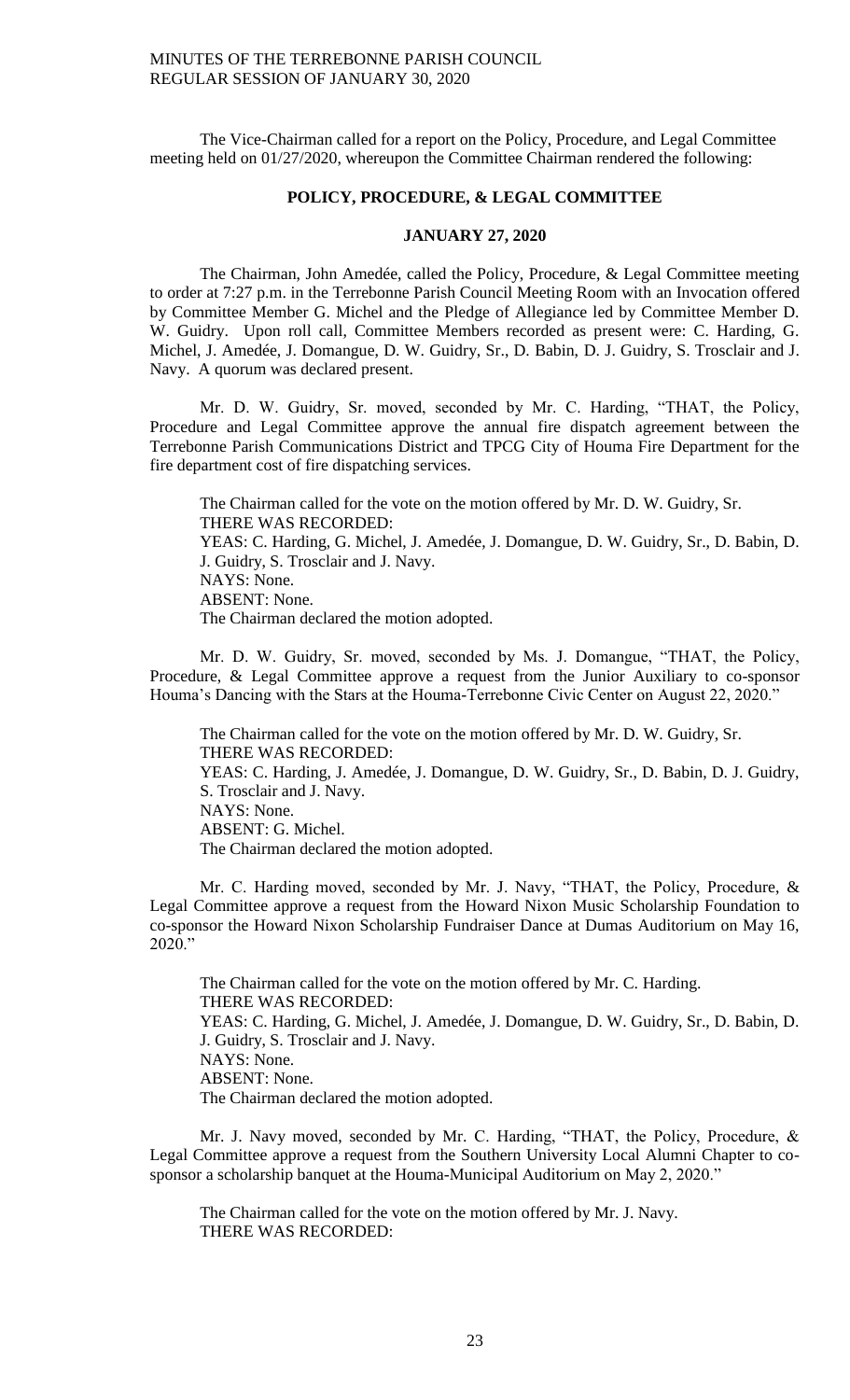The Vice-Chairman called for a report on the Policy, Procedure, and Legal Committee meeting held on 01/27/2020, whereupon the Committee Chairman rendered the following:

#### **POLICY, PROCEDURE, & LEGAL COMMITTEE**

## **JANUARY 27, 2020**

The Chairman, John Amedée, called the Policy, Procedure, & Legal Committee meeting to order at 7:27 p.m. in the Terrebonne Parish Council Meeting Room with an Invocation offered by Committee Member G. Michel and the Pledge of Allegiance led by Committee Member D. W. Guidry. Upon roll call, Committee Members recorded as present were: C. Harding, G. Michel, J. Amedée, J. Domangue, D. W. Guidry, Sr., D. Babin, D. J. Guidry, S. Trosclair and J. Navy. A quorum was declared present.

Mr. D. W. Guidry, Sr. moved, seconded by Mr. C. Harding, "THAT, the Policy, Procedure and Legal Committee approve the annual fire dispatch agreement between the Terrebonne Parish Communications District and TPCG City of Houma Fire Department for the fire department cost of fire dispatching services.

The Chairman called for the vote on the motion offered by Mr. D. W. Guidry, Sr. THERE WAS RECORDED: YEAS: C. Harding, G. Michel, J. Amedée, J. Domangue, D. W. Guidry, Sr., D. Babin, D. J. Guidry, S. Trosclair and J. Navy. NAYS: None. ABSENT: None. The Chairman declared the motion adopted.

Mr. D. W. Guidry, Sr. moved, seconded by Ms. J. Domangue, "THAT, the Policy, Procedure, & Legal Committee approve a request from the Junior Auxiliary to co-sponsor Houma's Dancing with the Stars at the Houma-Terrebonne Civic Center on August 22, 2020."

The Chairman called for the vote on the motion offered by Mr. D. W. Guidry, Sr. THERE WAS RECORDED: YEAS: C. Harding, J. Amedée, J. Domangue, D. W. Guidry, Sr., D. Babin, D. J. Guidry, S. Trosclair and J. Navy. NAYS: None. ABSENT: G. Michel. The Chairman declared the motion adopted.

Mr. C. Harding moved, seconded by Mr. J. Navy, "THAT, the Policy, Procedure, & Legal Committee approve a request from the Howard Nixon Music Scholarship Foundation to co-sponsor the Howard Nixon Scholarship Fundraiser Dance at Dumas Auditorium on May 16, 2020."

The Chairman called for the vote on the motion offered by Mr. C. Harding. THERE WAS RECORDED: YEAS: C. Harding, G. Michel, J. Amedée, J. Domangue, D. W. Guidry, Sr., D. Babin, D. J. Guidry, S. Trosclair and J. Navy. NAYS: None. ABSENT: None. The Chairman declared the motion adopted.

Mr. J. Navy moved, seconded by Mr. C. Harding, "THAT, the Policy, Procedure, & Legal Committee approve a request from the Southern University Local Alumni Chapter to cosponsor a scholarship banquet at the Houma-Municipal Auditorium on May 2, 2020."

The Chairman called for the vote on the motion offered by Mr. J. Navy. THERE WAS RECORDED: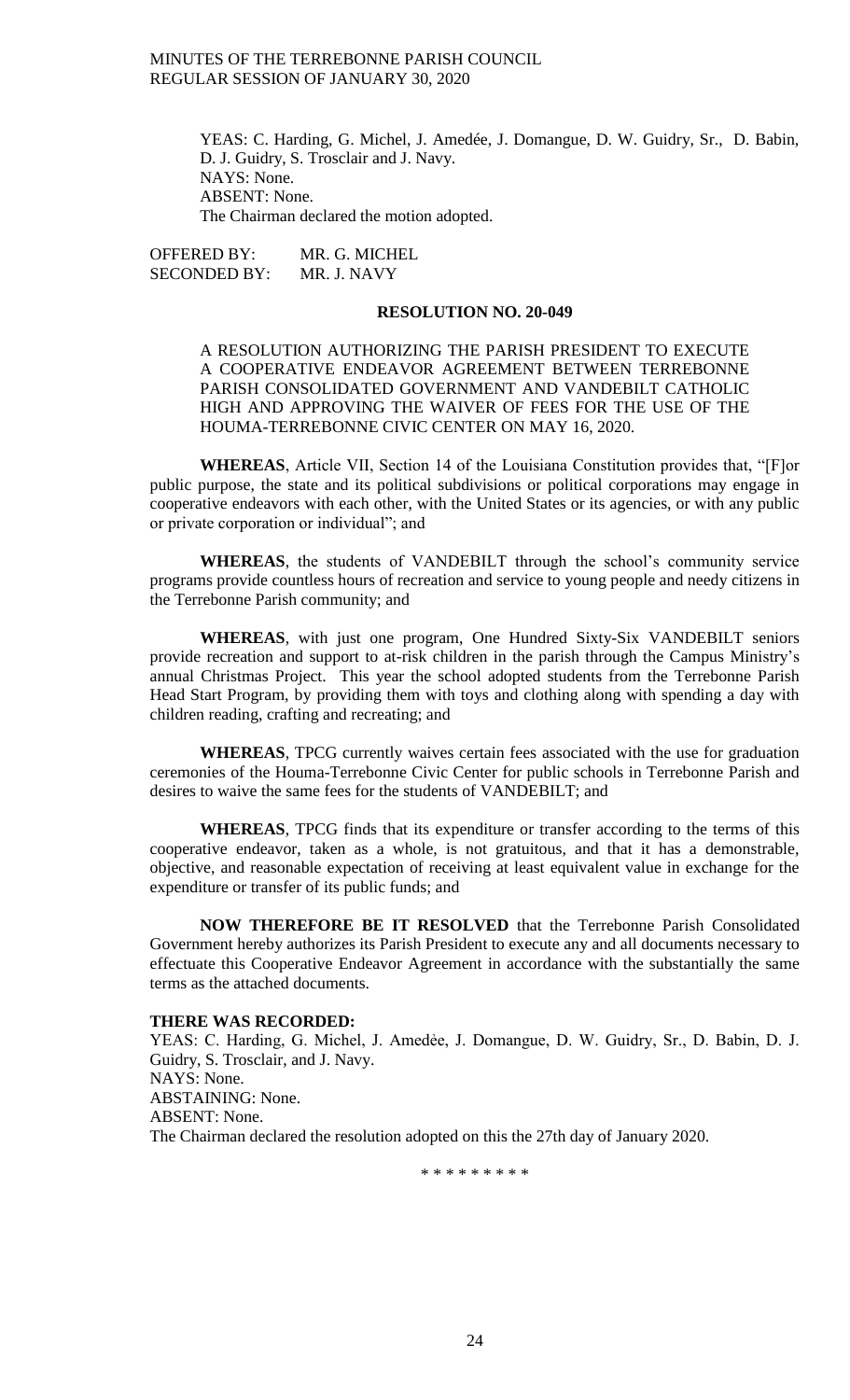YEAS: C. Harding, G. Michel, J. Amedée, J. Domangue, D. W. Guidry, Sr., D. Babin, D. J. Guidry, S. Trosclair and J. Navy. NAYS: None. ABSENT: None. The Chairman declared the motion adopted.

OFFERED BY: MR. G. MICHEL SECONDED BY: MR. J. NAVY

#### **RESOLUTION NO. 20-049**

A RESOLUTION AUTHORIZING THE PARISH PRESIDENT TO EXECUTE A COOPERATIVE ENDEAVOR AGREEMENT BETWEEN TERREBONNE PARISH CONSOLIDATED GOVERNMENT AND VANDEBILT CATHOLIC HIGH AND APPROVING THE WAIVER OF FEES FOR THE USE OF THE HOUMA-TERREBONNE CIVIC CENTER ON MAY 16, 2020.

**WHEREAS**, Article VII, Section 14 of the Louisiana Constitution provides that, "[F]or public purpose, the state and its political subdivisions or political corporations may engage in cooperative endeavors with each other, with the United States or its agencies, or with any public or private corporation or individual"; and

**WHEREAS**, the students of VANDEBILT through the school's community service programs provide countless hours of recreation and service to young people and needy citizens in the Terrebonne Parish community; and

**WHEREAS**, with just one program, One Hundred Sixty-Six VANDEBILT seniors provide recreation and support to at-risk children in the parish through the Campus Ministry's annual Christmas Project. This year the school adopted students from the Terrebonne Parish Head Start Program, by providing them with toys and clothing along with spending a day with children reading, crafting and recreating; and

**WHEREAS**, TPCG currently waives certain fees associated with the use for graduation ceremonies of the Houma-Terrebonne Civic Center for public schools in Terrebonne Parish and desires to waive the same fees for the students of VANDEBILT; and

**WHEREAS**, TPCG finds that its expenditure or transfer according to the terms of this cooperative endeavor, taken as a whole, is not gratuitous, and that it has a demonstrable, objective, and reasonable expectation of receiving at least equivalent value in exchange for the expenditure or transfer of its public funds; and

**NOW THEREFORE BE IT RESOLVED** that the Terrebonne Parish Consolidated Government hereby authorizes its Parish President to execute any and all documents necessary to effectuate this Cooperative Endeavor Agreement in accordance with the substantially the same terms as the attached documents.

#### **THERE WAS RECORDED:**

YEAS: C. Harding, G. Michel, J. Amedée, J. Domangue, D. W. Guidry, Sr., D. Babin, D. J. Guidry, S. Trosclair, and J. Navy. NAYS: None. ABSTAINING: None. ABSENT: None. The Chairman declared the resolution adopted on this the 27th day of January 2020.

\* \* \* \* \* \* \* \* \*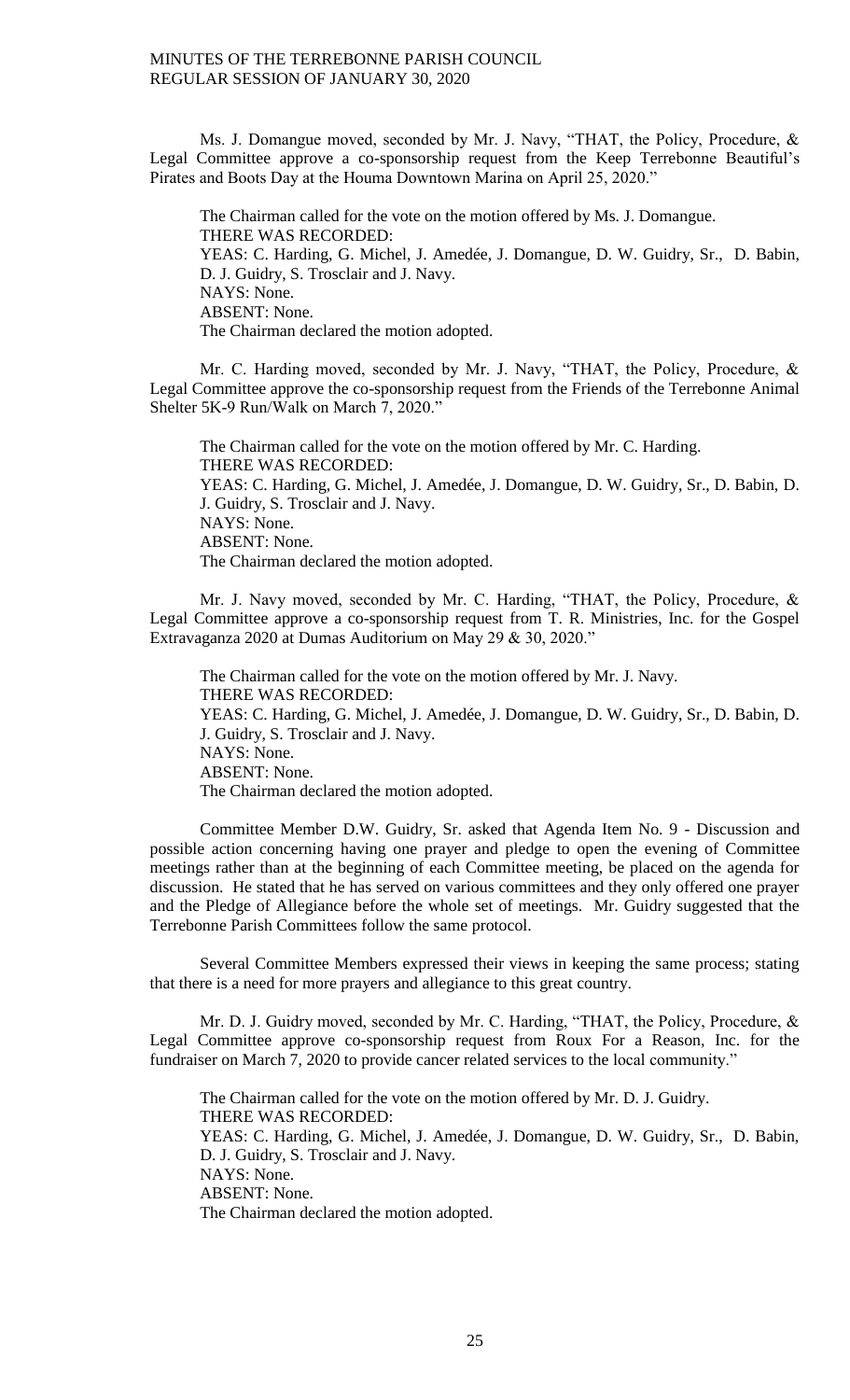Ms. J. Domangue moved, seconded by Mr. J. Navy, "THAT, the Policy, Procedure, & Legal Committee approve a co-sponsorship request from the Keep Terrebonne Beautiful's Pirates and Boots Day at the Houma Downtown Marina on April 25, 2020."

The Chairman called for the vote on the motion offered by Ms. J. Domangue. THERE WAS RECORDED: YEAS: C. Harding, G. Michel, J. Amedée, J. Domangue, D. W. Guidry, Sr., D. Babin, D. J. Guidry, S. Trosclair and J. Navy. NAYS: None. ABSENT: None. The Chairman declared the motion adopted.

Mr. C. Harding moved, seconded by Mr. J. Navy, "THAT, the Policy, Procedure, & Legal Committee approve the co-sponsorship request from the Friends of the Terrebonne Animal Shelter 5K-9 Run/Walk on March 7, 2020."

The Chairman called for the vote on the motion offered by Mr. C. Harding. THERE WAS RECORDED: YEAS: C. Harding, G. Michel, J. Amedée, J. Domangue, D. W. Guidry, Sr., D. Babin, D. J. Guidry, S. Trosclair and J. Navy. NAYS: None. ABSENT: None. The Chairman declared the motion adopted.

Mr. J. Navy moved, seconded by Mr. C. Harding, "THAT, the Policy, Procedure, & Legal Committee approve a co-sponsorship request from T. R. Ministries, Inc. for the Gospel Extravaganza 2020 at Dumas Auditorium on May 29 & 30, 2020."

The Chairman called for the vote on the motion offered by Mr. J. Navy. THERE WAS RECORDED: YEAS: C. Harding, G. Michel, J. Amedée, J. Domangue, D. W. Guidry, Sr., D. Babin, D. J. Guidry, S. Trosclair and J. Navy. NAYS: None. ABSENT: None. The Chairman declared the motion adopted.

Committee Member D.W. Guidry, Sr. asked that Agenda Item No. 9 - Discussion and possible action concerning having one prayer and pledge to open the evening of Committee meetings rather than at the beginning of each Committee meeting, be placed on the agenda for discussion. He stated that he has served on various committees and they only offered one prayer and the Pledge of Allegiance before the whole set of meetings. Mr. Guidry suggested that the Terrebonne Parish Committees follow the same protocol.

Several Committee Members expressed their views in keeping the same process; stating that there is a need for more prayers and allegiance to this great country.

Mr. D. J. Guidry moved, seconded by Mr. C. Harding, "THAT, the Policy, Procedure, & Legal Committee approve co-sponsorship request from Roux For a Reason, Inc. for the fundraiser on March 7, 2020 to provide cancer related services to the local community."

The Chairman called for the vote on the motion offered by Mr. D. J. Guidry. THERE WAS RECORDED: YEAS: C. Harding, G. Michel, J. Amedée, J. Domangue, D. W. Guidry, Sr., D. Babin, D. J. Guidry, S. Trosclair and J. Navy. NAYS: None. ABSENT: None. The Chairman declared the motion adopted.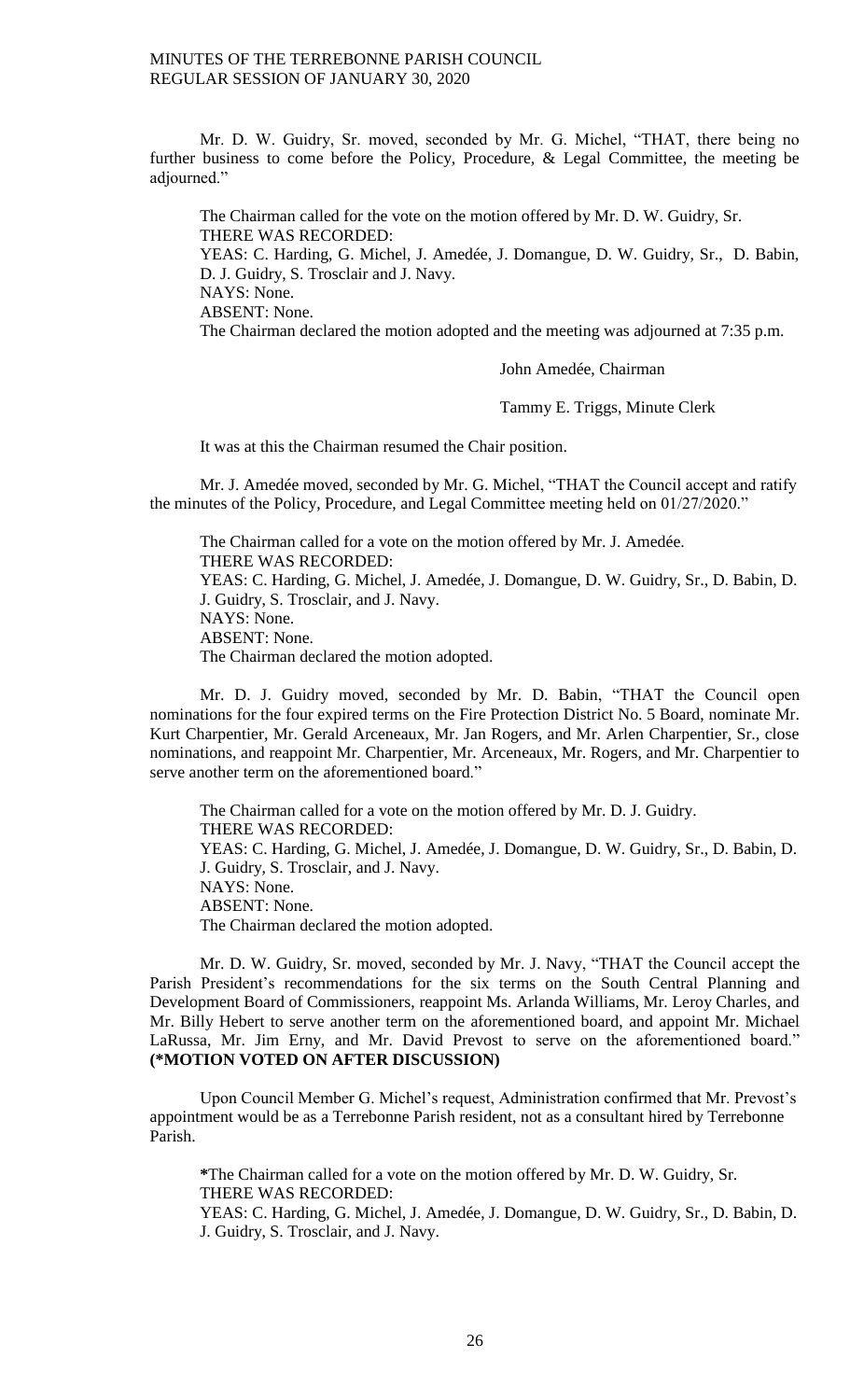Mr. D. W. Guidry, Sr. moved, seconded by Mr. G. Michel, "THAT, there being no further business to come before the Policy, Procedure, & Legal Committee, the meeting be adjourned."

The Chairman called for the vote on the motion offered by Mr. D. W. Guidry, Sr. THERE WAS RECORDED: YEAS: C. Harding, G. Michel, J. Amedée, J. Domangue, D. W. Guidry, Sr., D. Babin, D. J. Guidry, S. Trosclair and J. Navy. NAYS: None. ABSENT: None. The Chairman declared the motion adopted and the meeting was adjourned at 7:35 p.m.

John Amedée, Chairman

Tammy E. Triggs, Minute Clerk

It was at this the Chairman resumed the Chair position.

Mr. J. Amedée moved, seconded by Mr. G. Michel, "THAT the Council accept and ratify the minutes of the Policy, Procedure, and Legal Committee meeting held on 01/27/2020."

The Chairman called for a vote on the motion offered by Mr. J. Amedée. THERE WAS RECORDED: YEAS: C. Harding, G. Michel, J. Amedée, J. Domangue, D. W. Guidry, Sr., D. Babin, D. J. Guidry, S. Trosclair, and J. Navy. NAYS: None. ABSENT: None. The Chairman declared the motion adopted.

Mr. D. J. Guidry moved, seconded by Mr. D. Babin, "THAT the Council open nominations for the four expired terms on the Fire Protection District No. 5 Board, nominate Mr. Kurt Charpentier, Mr. Gerald Arceneaux, Mr. Jan Rogers, and Mr. Arlen Charpentier, Sr., close nominations, and reappoint Mr. Charpentier, Mr. Arceneaux, Mr. Rogers, and Mr. Charpentier to serve another term on the aforementioned board."

The Chairman called for a vote on the motion offered by Mr. D. J. Guidry. THERE WAS RECORDED: YEAS: C. Harding, G. Michel, J. Amedée, J. Domangue, D. W. Guidry, Sr., D. Babin, D. J. Guidry, S. Trosclair, and J. Navy. NAYS: None. ABSENT: None. The Chairman declared the motion adopted.

Mr. D. W. Guidry, Sr. moved, seconded by Mr. J. Navy, "THAT the Council accept the Parish President's recommendations for the six terms on the South Central Planning and Development Board of Commissioners, reappoint Ms. Arlanda Williams, Mr. Leroy Charles, and Mr. Billy Hebert to serve another term on the aforementioned board, and appoint Mr. Michael LaRussa, Mr. Jim Erny, and Mr. David Prevost to serve on the aforementioned board." **(\*MOTION VOTED ON AFTER DISCUSSION)**

Upon Council Member G. Michel's request, Administration confirmed that Mr. Prevost's appointment would be as a Terrebonne Parish resident, not as a consultant hired by Terrebonne Parish.

**\***The Chairman called for a vote on the motion offered by Mr. D. W. Guidry, Sr. THERE WAS RECORDED:

YEAS: C. Harding, G. Michel, J. Amedée, J. Domangue, D. W. Guidry, Sr., D. Babin, D. J. Guidry, S. Trosclair, and J. Navy.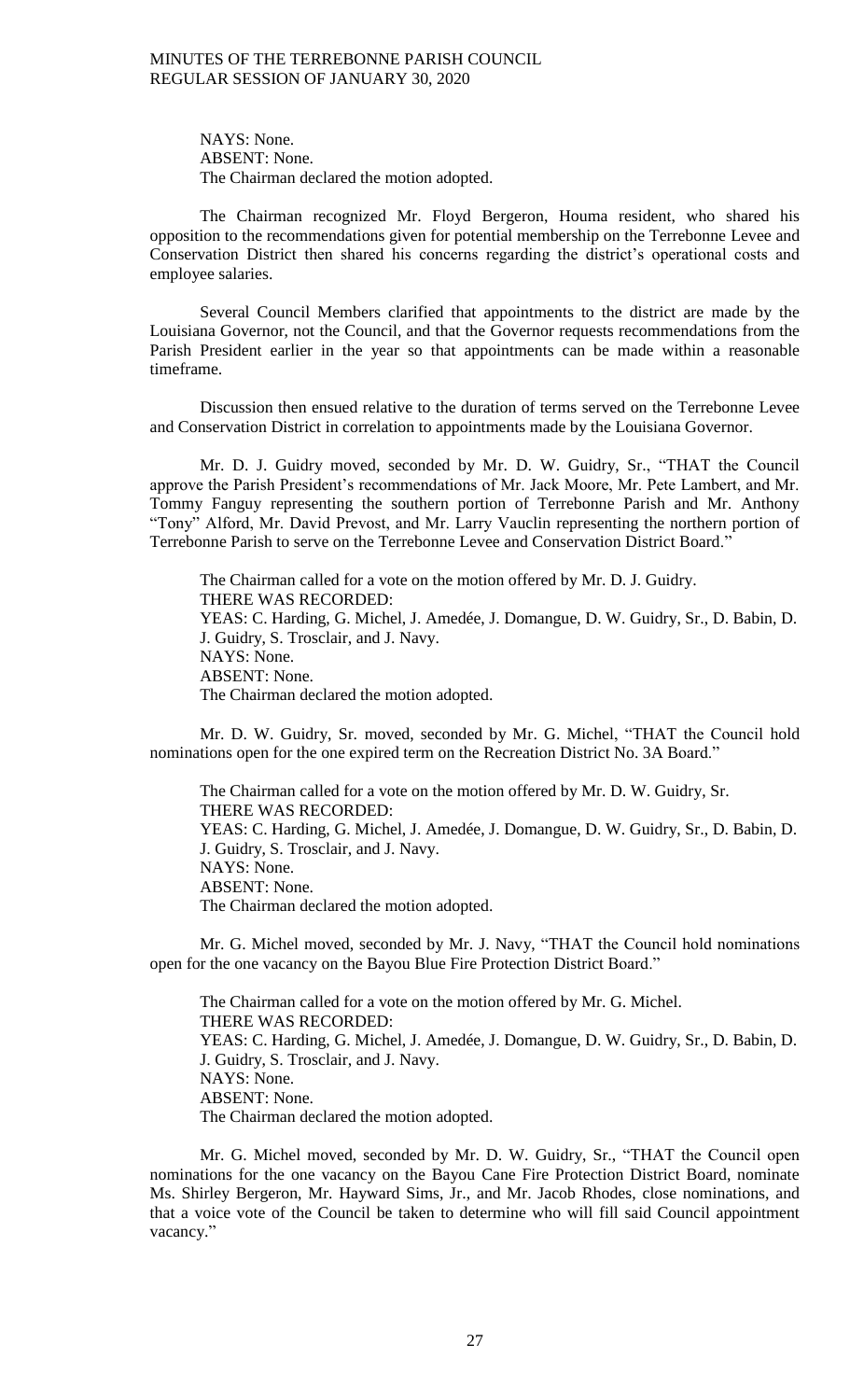NAYS: None. ABSENT: None. The Chairman declared the motion adopted.

The Chairman recognized Mr. Floyd Bergeron, Houma resident, who shared his opposition to the recommendations given for potential membership on the Terrebonne Levee and Conservation District then shared his concerns regarding the district's operational costs and employee salaries.

Several Council Members clarified that appointments to the district are made by the Louisiana Governor, not the Council, and that the Governor requests recommendations from the Parish President earlier in the year so that appointments can be made within a reasonable timeframe.

Discussion then ensued relative to the duration of terms served on the Terrebonne Levee and Conservation District in correlation to appointments made by the Louisiana Governor.

Mr. D. J. Guidry moved, seconded by Mr. D. W. Guidry, Sr., "THAT the Council approve the Parish President's recommendations of Mr. Jack Moore, Mr. Pete Lambert, and Mr. Tommy Fanguy representing the southern portion of Terrebonne Parish and Mr. Anthony "Tony" Alford, Mr. David Prevost, and Mr. Larry Vauclin representing the northern portion of Terrebonne Parish to serve on the Terrebonne Levee and Conservation District Board."

The Chairman called for a vote on the motion offered by Mr. D. J. Guidry. THERE WAS RECORDED: YEAS: C. Harding, G. Michel, J. Amedée, J. Domangue, D. W. Guidry, Sr., D. Babin, D. J. Guidry, S. Trosclair, and J. Navy. NAYS: None. ABSENT: None. The Chairman declared the motion adopted.

Mr. D. W. Guidry, Sr. moved, seconded by Mr. G. Michel, "THAT the Council hold nominations open for the one expired term on the Recreation District No. 3A Board."

The Chairman called for a vote on the motion offered by Mr. D. W. Guidry, Sr. THERE WAS RECORDED: YEAS: C. Harding, G. Michel, J. Amedée, J. Domangue, D. W. Guidry, Sr., D. Babin, D. J. Guidry, S. Trosclair, and J. Navy. NAYS: None. ABSENT: None. The Chairman declared the motion adopted.

Mr. G. Michel moved, seconded by Mr. J. Navy, "THAT the Council hold nominations open for the one vacancy on the Bayou Blue Fire Protection District Board."

The Chairman called for a vote on the motion offered by Mr. G. Michel. THERE WAS RECORDED: YEAS: C. Harding, G. Michel, J. Amedée, J. Domangue, D. W. Guidry, Sr., D. Babin, D. J. Guidry, S. Trosclair, and J. Navy. NAYS: None. ABSENT: None. The Chairman declared the motion adopted.

Mr. G. Michel moved, seconded by Mr. D. W. Guidry, Sr., "THAT the Council open nominations for the one vacancy on the Bayou Cane Fire Protection District Board, nominate Ms. Shirley Bergeron, Mr. Hayward Sims, Jr., and Mr. Jacob Rhodes, close nominations, and that a voice vote of the Council be taken to determine who will fill said Council appointment vacancy."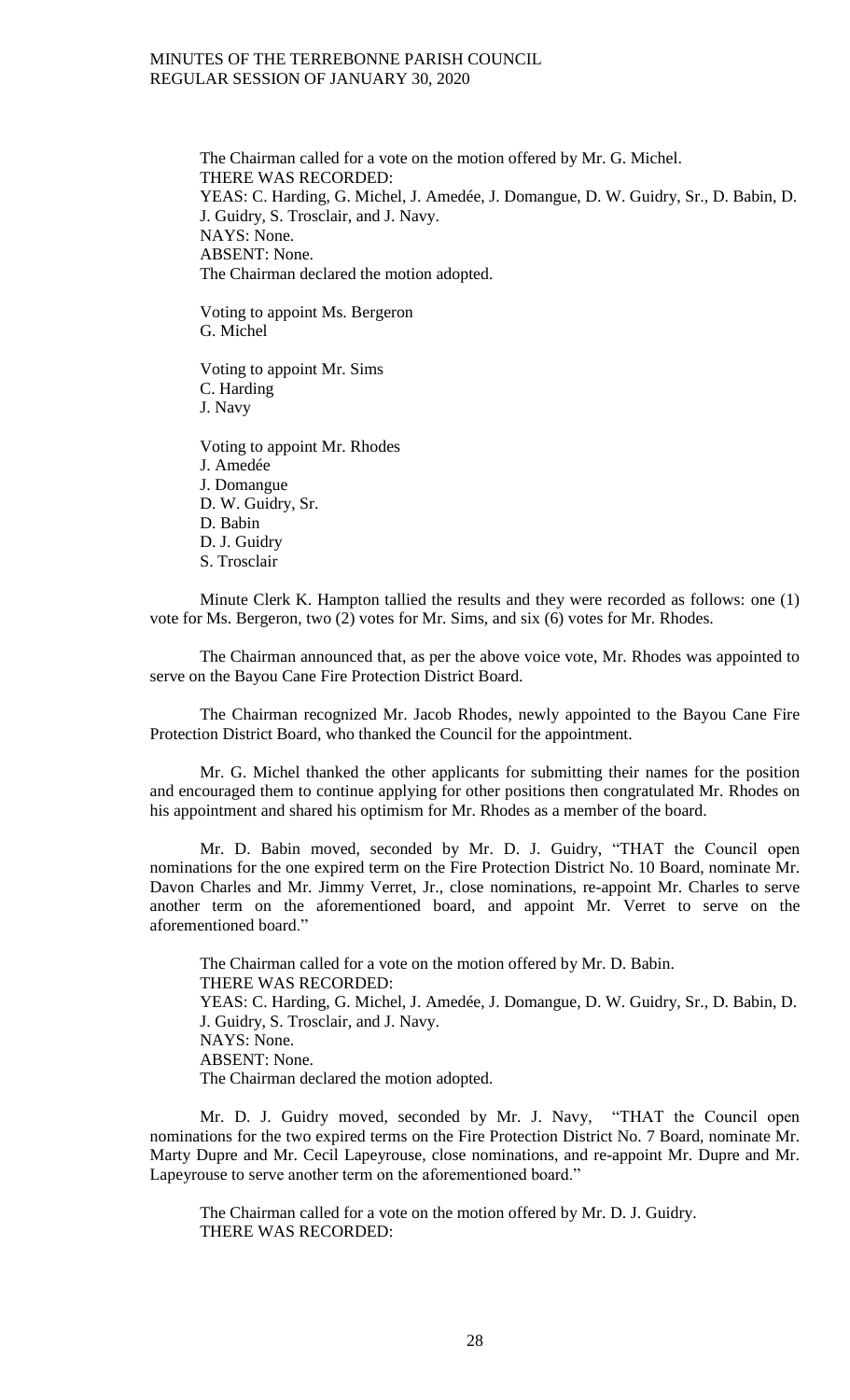The Chairman called for a vote on the motion offered by Mr. G. Michel. THERE WAS RECORDED: YEAS: C. Harding, G. Michel, J. Amedée, J. Domangue, D. W. Guidry, Sr., D. Babin, D. J. Guidry, S. Trosclair, and J. Navy. NAYS: None. ABSENT: None. The Chairman declared the motion adopted.

Voting to appoint Ms. Bergeron G. Michel

Voting to appoint Mr. Sims C. Harding J. Navy

Voting to appoint Mr. Rhodes J. Amedée J. Domangue D. W. Guidry, Sr. D. Babin D. J. Guidry S. Trosclair

Minute Clerk K. Hampton tallied the results and they were recorded as follows: one (1) vote for Ms. Bergeron, two (2) votes for Mr. Sims, and six (6) votes for Mr. Rhodes.

The Chairman announced that, as per the above voice vote, Mr. Rhodes was appointed to serve on the Bayou Cane Fire Protection District Board.

The Chairman recognized Mr. Jacob Rhodes, newly appointed to the Bayou Cane Fire Protection District Board, who thanked the Council for the appointment.

Mr. G. Michel thanked the other applicants for submitting their names for the position and encouraged them to continue applying for other positions then congratulated Mr. Rhodes on his appointment and shared his optimism for Mr. Rhodes as a member of the board.

Mr. D. Babin moved, seconded by Mr. D. J. Guidry, "THAT the Council open nominations for the one expired term on the Fire Protection District No. 10 Board, nominate Mr. Davon Charles and Mr. Jimmy Verret, Jr., close nominations, re-appoint Mr. Charles to serve another term on the aforementioned board, and appoint Mr. Verret to serve on the aforementioned board."

The Chairman called for a vote on the motion offered by Mr. D. Babin. THERE WAS RECORDED: YEAS: C. Harding, G. Michel, J. Amedée, J. Domangue, D. W. Guidry, Sr., D. Babin, D. J. Guidry, S. Trosclair, and J. Navy. NAYS: None. ABSENT: None. The Chairman declared the motion adopted.

Mr. D. J. Guidry moved, seconded by Mr. J. Navy, "THAT the Council open nominations for the two expired terms on the Fire Protection District No. 7 Board, nominate Mr. Marty Dupre and Mr. Cecil Lapeyrouse, close nominations, and re-appoint Mr. Dupre and Mr. Lapeyrouse to serve another term on the aforementioned board."

The Chairman called for a vote on the motion offered by Mr. D. J. Guidry. THERE WAS RECORDED: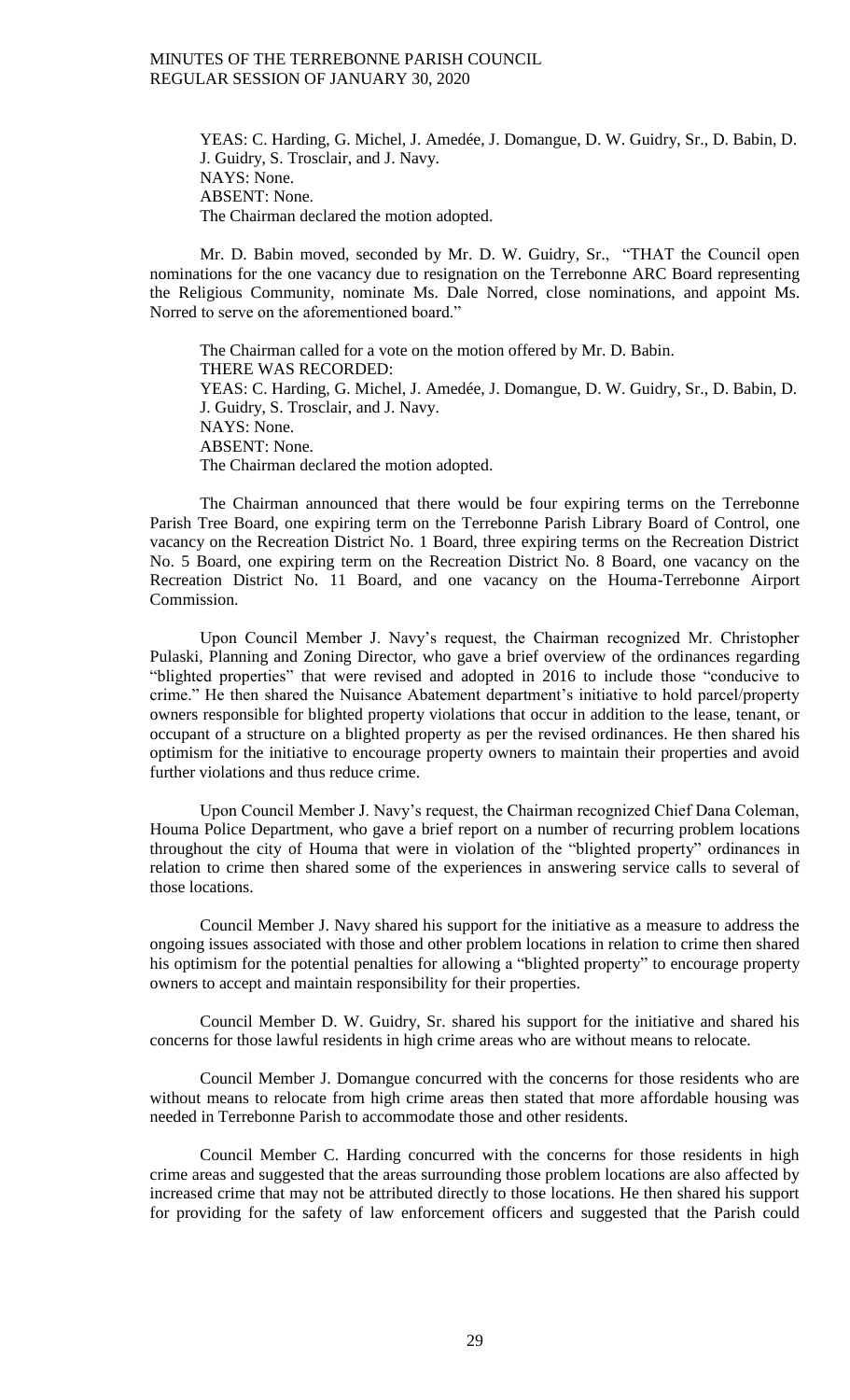YEAS: C. Harding, G. Michel, J. Amedée, J. Domangue, D. W. Guidry, Sr., D. Babin, D. J. Guidry, S. Trosclair, and J. Navy. NAYS: None. ABSENT: None. The Chairman declared the motion adopted.

Mr. D. Babin moved, seconded by Mr. D. W. Guidry, Sr., "THAT the Council open nominations for the one vacancy due to resignation on the Terrebonne ARC Board representing the Religious Community, nominate Ms. Dale Norred, close nominations, and appoint Ms. Norred to serve on the aforementioned board."

The Chairman called for a vote on the motion offered by Mr. D. Babin. THERE WAS RECORDED: YEAS: C. Harding, G. Michel, J. Amedée, J. Domangue, D. W. Guidry, Sr., D. Babin, D. J. Guidry, S. Trosclair, and J. Navy. NAYS: None. ABSENT: None. The Chairman declared the motion adopted.

The Chairman announced that there would be four expiring terms on the Terrebonne Parish Tree Board, one expiring term on the Terrebonne Parish Library Board of Control, one vacancy on the Recreation District No. 1 Board, three expiring terms on the Recreation District No. 5 Board, one expiring term on the Recreation District No. 8 Board, one vacancy on the Recreation District No. 11 Board, and one vacancy on the Houma-Terrebonne Airport Commission.

Upon Council Member J. Navy's request, the Chairman recognized Mr. Christopher Pulaski, Planning and Zoning Director, who gave a brief overview of the ordinances regarding "blighted properties" that were revised and adopted in 2016 to include those "conducive to crime." He then shared the Nuisance Abatement department's initiative to hold parcel/property owners responsible for blighted property violations that occur in addition to the lease, tenant, or occupant of a structure on a blighted property as per the revised ordinances. He then shared his optimism for the initiative to encourage property owners to maintain their properties and avoid further violations and thus reduce crime.

Upon Council Member J. Navy's request, the Chairman recognized Chief Dana Coleman, Houma Police Department, who gave a brief report on a number of recurring problem locations throughout the city of Houma that were in violation of the "blighted property" ordinances in relation to crime then shared some of the experiences in answering service calls to several of those locations.

Council Member J. Navy shared his support for the initiative as a measure to address the ongoing issues associated with those and other problem locations in relation to crime then shared his optimism for the potential penalties for allowing a "blighted property" to encourage property owners to accept and maintain responsibility for their properties.

Council Member D. W. Guidry, Sr. shared his support for the initiative and shared his concerns for those lawful residents in high crime areas who are without means to relocate.

Council Member J. Domangue concurred with the concerns for those residents who are without means to relocate from high crime areas then stated that more affordable housing was needed in Terrebonne Parish to accommodate those and other residents.

Council Member C. Harding concurred with the concerns for those residents in high crime areas and suggested that the areas surrounding those problem locations are also affected by increased crime that may not be attributed directly to those locations. He then shared his support for providing for the safety of law enforcement officers and suggested that the Parish could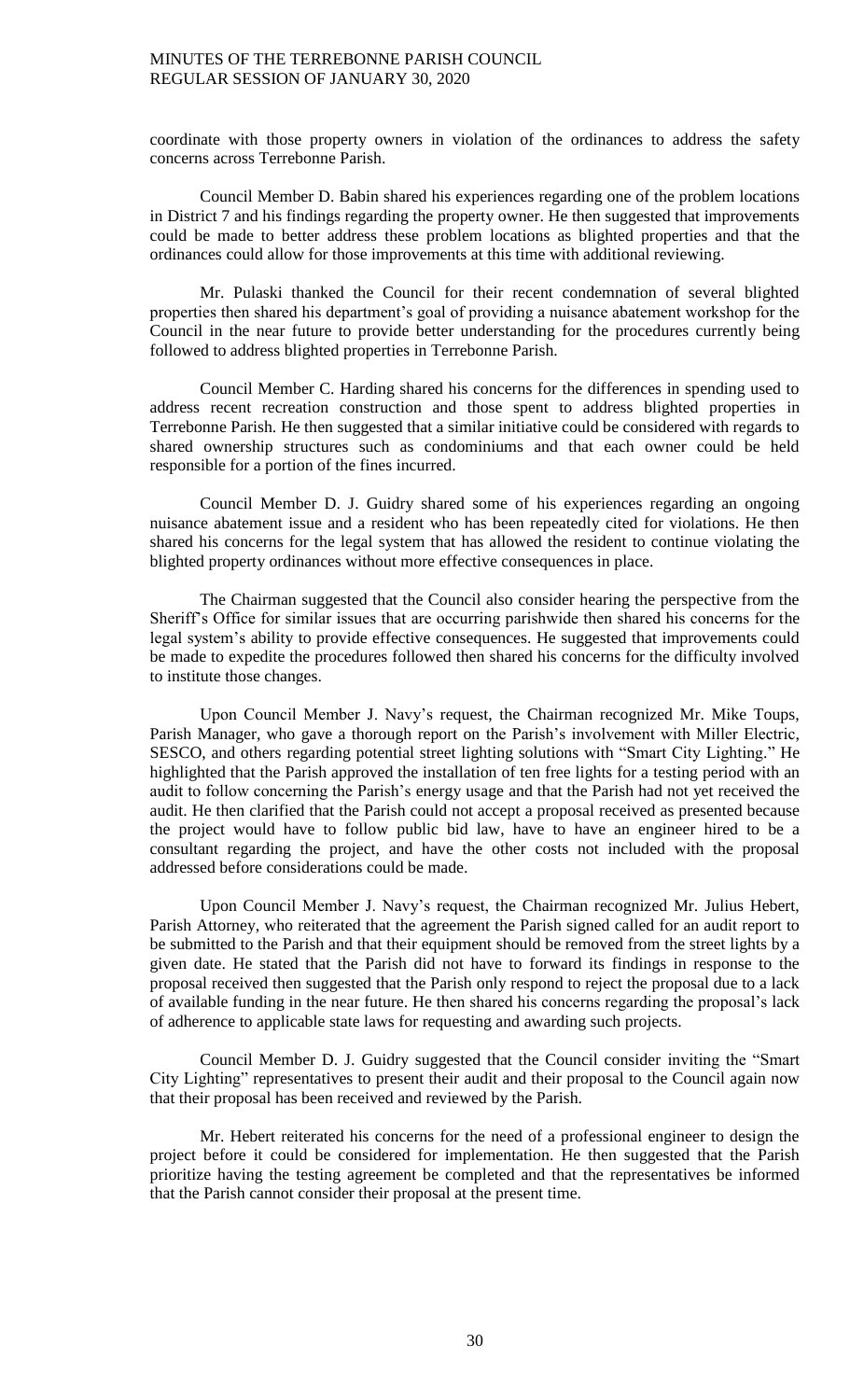coordinate with those property owners in violation of the ordinances to address the safety concerns across Terrebonne Parish.

Council Member D. Babin shared his experiences regarding one of the problem locations in District 7 and his findings regarding the property owner. He then suggested that improvements could be made to better address these problem locations as blighted properties and that the ordinances could allow for those improvements at this time with additional reviewing.

Mr. Pulaski thanked the Council for their recent condemnation of several blighted properties then shared his department's goal of providing a nuisance abatement workshop for the Council in the near future to provide better understanding for the procedures currently being followed to address blighted properties in Terrebonne Parish.

Council Member C. Harding shared his concerns for the differences in spending used to address recent recreation construction and those spent to address blighted properties in Terrebonne Parish. He then suggested that a similar initiative could be considered with regards to shared ownership structures such as condominiums and that each owner could be held responsible for a portion of the fines incurred.

Council Member D. J. Guidry shared some of his experiences regarding an ongoing nuisance abatement issue and a resident who has been repeatedly cited for violations. He then shared his concerns for the legal system that has allowed the resident to continue violating the blighted property ordinances without more effective consequences in place.

The Chairman suggested that the Council also consider hearing the perspective from the Sheriff's Office for similar issues that are occurring parishwide then shared his concerns for the legal system's ability to provide effective consequences. He suggested that improvements could be made to expedite the procedures followed then shared his concerns for the difficulty involved to institute those changes.

Upon Council Member J. Navy's request, the Chairman recognized Mr. Mike Toups, Parish Manager, who gave a thorough report on the Parish's involvement with Miller Electric, SESCO, and others regarding potential street lighting solutions with "Smart City Lighting." He highlighted that the Parish approved the installation of ten free lights for a testing period with an audit to follow concerning the Parish's energy usage and that the Parish had not yet received the audit. He then clarified that the Parish could not accept a proposal received as presented because the project would have to follow public bid law, have to have an engineer hired to be a consultant regarding the project, and have the other costs not included with the proposal addressed before considerations could be made.

Upon Council Member J. Navy's request, the Chairman recognized Mr. Julius Hebert, Parish Attorney, who reiterated that the agreement the Parish signed called for an audit report to be submitted to the Parish and that their equipment should be removed from the street lights by a given date. He stated that the Parish did not have to forward its findings in response to the proposal received then suggested that the Parish only respond to reject the proposal due to a lack of available funding in the near future. He then shared his concerns regarding the proposal's lack of adherence to applicable state laws for requesting and awarding such projects.

Council Member D. J. Guidry suggested that the Council consider inviting the "Smart City Lighting" representatives to present their audit and their proposal to the Council again now that their proposal has been received and reviewed by the Parish.

Mr. Hebert reiterated his concerns for the need of a professional engineer to design the project before it could be considered for implementation. He then suggested that the Parish prioritize having the testing agreement be completed and that the representatives be informed that the Parish cannot consider their proposal at the present time.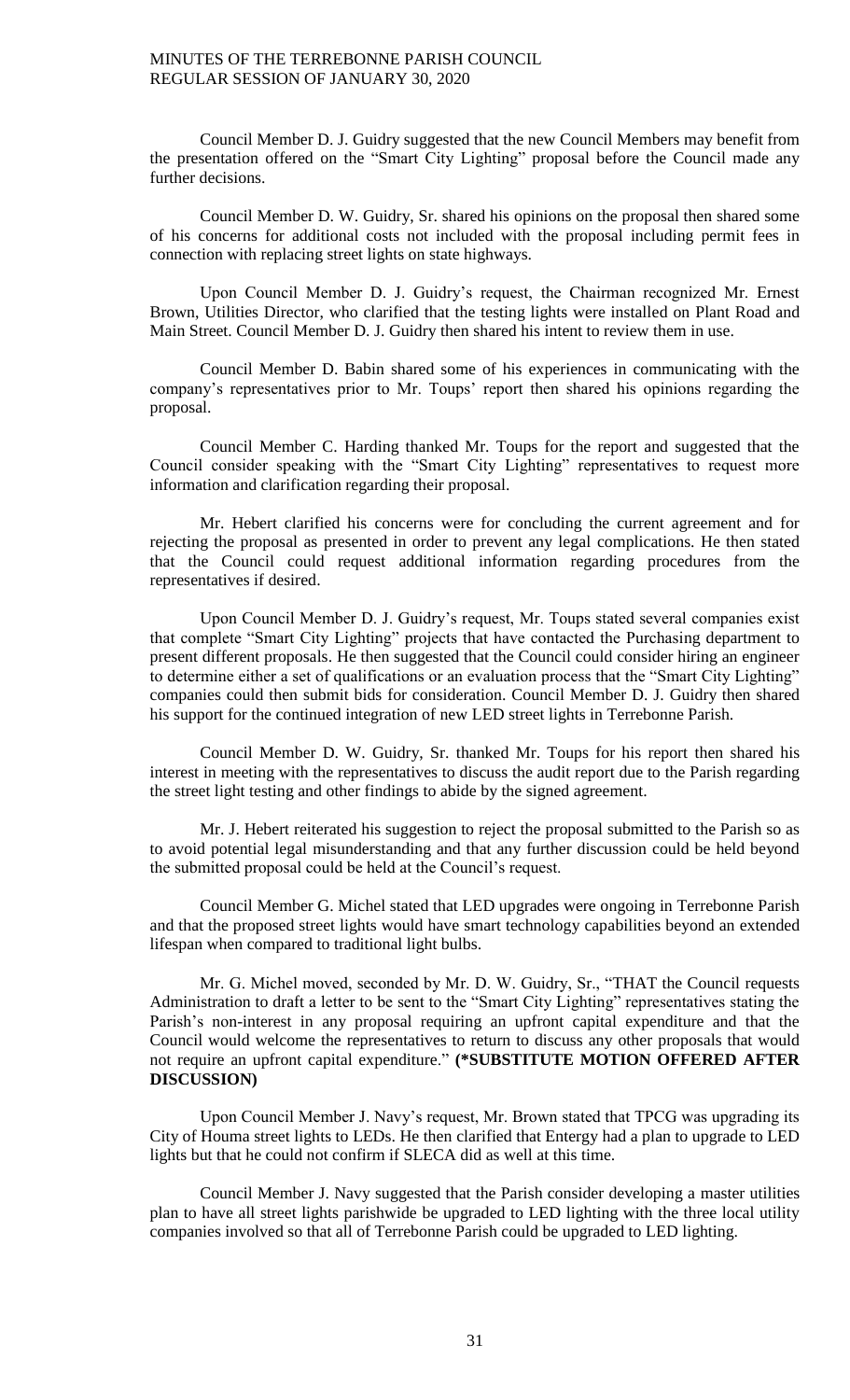Council Member D. J. Guidry suggested that the new Council Members may benefit from the presentation offered on the "Smart City Lighting" proposal before the Council made any further decisions.

Council Member D. W. Guidry, Sr. shared his opinions on the proposal then shared some of his concerns for additional costs not included with the proposal including permit fees in connection with replacing street lights on state highways.

Upon Council Member D. J. Guidry's request, the Chairman recognized Mr. Ernest Brown, Utilities Director, who clarified that the testing lights were installed on Plant Road and Main Street. Council Member D. J. Guidry then shared his intent to review them in use.

Council Member D. Babin shared some of his experiences in communicating with the company's representatives prior to Mr. Toups' report then shared his opinions regarding the proposal.

Council Member C. Harding thanked Mr. Toups for the report and suggested that the Council consider speaking with the "Smart City Lighting" representatives to request more information and clarification regarding their proposal.

Mr. Hebert clarified his concerns were for concluding the current agreement and for rejecting the proposal as presented in order to prevent any legal complications. He then stated that the Council could request additional information regarding procedures from the representatives if desired.

Upon Council Member D. J. Guidry's request, Mr. Toups stated several companies exist that complete "Smart City Lighting" projects that have contacted the Purchasing department to present different proposals. He then suggested that the Council could consider hiring an engineer to determine either a set of qualifications or an evaluation process that the "Smart City Lighting" companies could then submit bids for consideration. Council Member D. J. Guidry then shared his support for the continued integration of new LED street lights in Terrebonne Parish.

Council Member D. W. Guidry, Sr. thanked Mr. Toups for his report then shared his interest in meeting with the representatives to discuss the audit report due to the Parish regarding the street light testing and other findings to abide by the signed agreement.

Mr. J. Hebert reiterated his suggestion to reject the proposal submitted to the Parish so as to avoid potential legal misunderstanding and that any further discussion could be held beyond the submitted proposal could be held at the Council's request.

Council Member G. Michel stated that LED upgrades were ongoing in Terrebonne Parish and that the proposed street lights would have smart technology capabilities beyond an extended lifespan when compared to traditional light bulbs.

Mr. G. Michel moved, seconded by Mr. D. W. Guidry, Sr., "THAT the Council requests Administration to draft a letter to be sent to the "Smart City Lighting" representatives stating the Parish's non-interest in any proposal requiring an upfront capital expenditure and that the Council would welcome the representatives to return to discuss any other proposals that would not require an upfront capital expenditure." **(\*SUBSTITUTE MOTION OFFERED AFTER DISCUSSION)**

Upon Council Member J. Navy's request, Mr. Brown stated that TPCG was upgrading its City of Houma street lights to LEDs. He then clarified that Entergy had a plan to upgrade to LED lights but that he could not confirm if SLECA did as well at this time.

Council Member J. Navy suggested that the Parish consider developing a master utilities plan to have all street lights parishwide be upgraded to LED lighting with the three local utility companies involved so that all of Terrebonne Parish could be upgraded to LED lighting.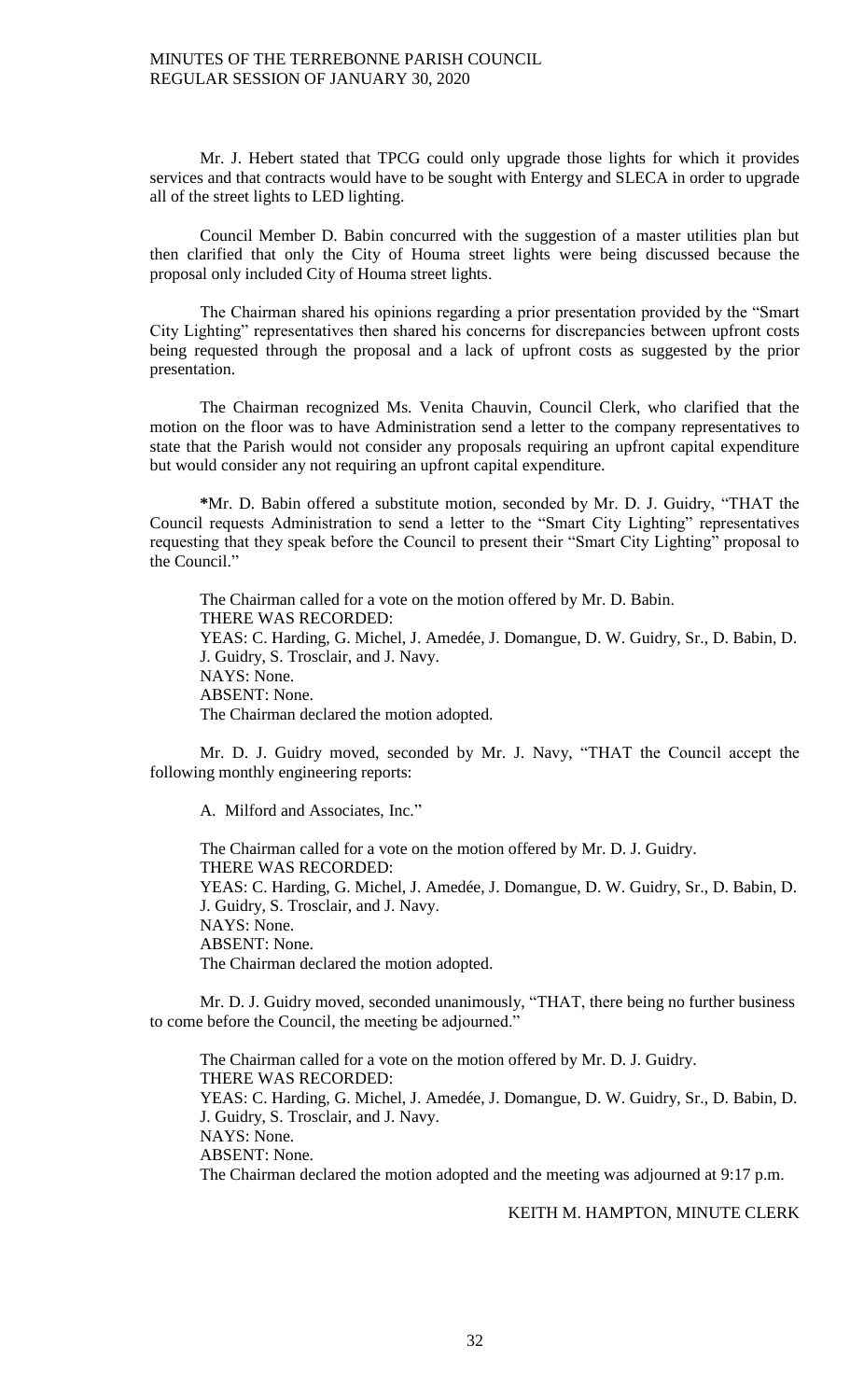Mr. J. Hebert stated that TPCG could only upgrade those lights for which it provides services and that contracts would have to be sought with Entergy and SLECA in order to upgrade all of the street lights to LED lighting.

Council Member D. Babin concurred with the suggestion of a master utilities plan but then clarified that only the City of Houma street lights were being discussed because the proposal only included City of Houma street lights.

The Chairman shared his opinions regarding a prior presentation provided by the "Smart City Lighting" representatives then shared his concerns for discrepancies between upfront costs being requested through the proposal and a lack of upfront costs as suggested by the prior presentation.

The Chairman recognized Ms. Venita Chauvin, Council Clerk, who clarified that the motion on the floor was to have Administration send a letter to the company representatives to state that the Parish would not consider any proposals requiring an upfront capital expenditure but would consider any not requiring an upfront capital expenditure.

**\***Mr. D. Babin offered a substitute motion, seconded by Mr. D. J. Guidry, "THAT the Council requests Administration to send a letter to the "Smart City Lighting" representatives requesting that they speak before the Council to present their "Smart City Lighting" proposal to the Council."

The Chairman called for a vote on the motion offered by Mr. D. Babin. THERE WAS RECORDED: YEAS: C. Harding, G. Michel, J. Amedée, J. Domangue, D. W. Guidry, Sr., D. Babin, D. J. Guidry, S. Trosclair, and J. Navy. NAYS: None. ABSENT: None. The Chairman declared the motion adopted.

Mr. D. J. Guidry moved, seconded by Mr. J. Navy, "THAT the Council accept the following monthly engineering reports:

A. Milford and Associates, Inc."

The Chairman called for a vote on the motion offered by Mr. D. J. Guidry. THERE WAS RECORDED: YEAS: C. Harding, G. Michel, J. Amedée, J. Domangue, D. W. Guidry, Sr., D. Babin, D. J. Guidry, S. Trosclair, and J. Navy. NAYS: None. ABSENT: None. The Chairman declared the motion adopted.

Mr. D. J. Guidry moved, seconded unanimously, "THAT, there being no further business to come before the Council, the meeting be adjourned."

The Chairman called for a vote on the motion offered by Mr. D. J. Guidry. THERE WAS RECORDED: YEAS: C. Harding, G. Michel, J. Amedée, J. Domangue, D. W. Guidry, Sr., D. Babin, D. J. Guidry, S. Trosclair, and J. Navy. NAYS: None. ABSENT: None. The Chairman declared the motion adopted and the meeting was adjourned at 9:17 p.m.

### KEITH M. HAMPTON, MINUTE CLERK